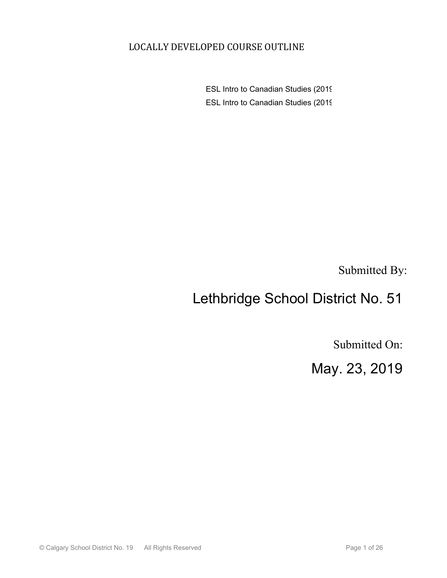## LOCALLY DEVELOPED COURSE OUTLINE

ESL Intro to Canadian Studies (2019) ESL Intro to Canadian Studies (2019)

Submitted By:

# Lethbridge School District No. 51

Submitted On:

May. 23, 2019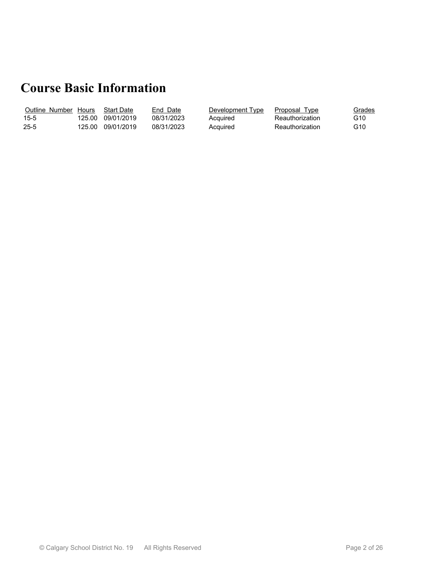# **Course Basic Information**

| Outline Number | <b>Hours</b> | <b>Start Date</b> | End Date   | Development Type | Proposal Type   | Grades<br>$\sim$ $\sim$ $\sim$ $\sim$ |
|----------------|--------------|-------------------|------------|------------------|-----------------|---------------------------------------|
| $15 - 5$       | 125.00       | 09/01/2019        | 08/31/2023 | Acquired         | Reauthorization | G10                                   |
| $25 - 5$       | 125.00       | 09/01/2019        | 08/31/2023 | Acquired         | Reauthorization | G10                                   |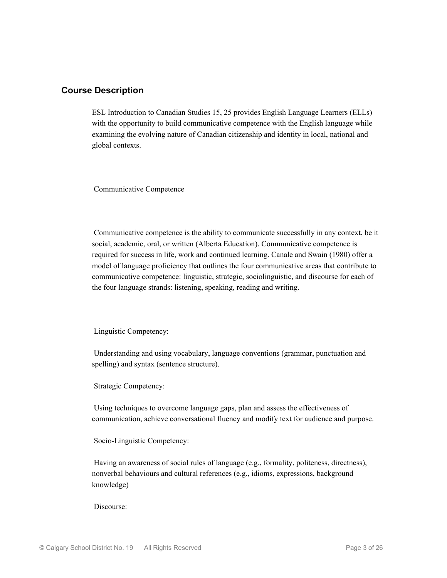#### **Course Description**

ESL Introduction to Canadian Studies 15, 25 provides English Language Learners (ELLs) with the opportunity to build communicative competence with the English language while examining the evolving nature of Canadian citizenship and identity in local, national and global contexts.

Communicative Competence

 Communicative competence is the ability to communicate successfully in any context, be it social, academic, oral, or written (Alberta Education). Communicative competence is required for success in life, work and continued learning. Canale and Swain (1980) offer a model of language proficiency that outlines the four communicative areas that contribute to communicative competence: linguistic, strategic, sociolinguistic, and discourse for each of the four language strands: listening, speaking, reading and writing.

Linguistic Competency:

 Understanding and using vocabulary, language conventions (grammar, punctuation and spelling) and syntax (sentence structure).

Strategic Competency:

 Using techniques to overcome language gaps, plan and assess the effectiveness of communication, achieve conversational fluency and modify text for audience and purpose.

Socio-Linguistic Competency:

 Having an awareness of social rules of language (e.g., formality, politeness, directness), nonverbal behaviours and cultural references (e.g., idioms, expressions, background knowledge)

Discourse: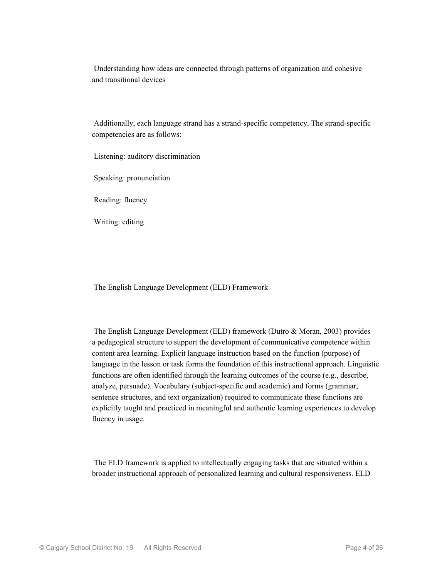Understanding how ideas are connected through patterns of organization and cohesive and transitional devices

 Additionally, each language strand has a strand-specific competency. The strand-specific competencies are as follows:

Listening: auditory discrimination

Speaking: pronunciation

Reading: fluency

Writing: editing

The English Language Development (ELD) Framework

 The English Language Development (ELD) framework (Dutro & Moran, 2003) provides a pedagogical structure to support the development of communicative competence within content area learning. Explicit language instruction based on the function (purpose) of language in the lesson or task forms the foundation of this instructional approach. Linguistic functions are often identified through the learning outcomes of the course (e.g., describe, analyze, persuade). Vocabulary (subject-specific and academic) and forms (grammar, sentence structures, and text organization) required to communicate these functions are explicitly taught and practiced in meaningful and authentic learning experiences to develop fluency in usage.

 The ELD framework is applied to intellectually engaging tasks that are situated within a broader instructional approach of personalized learning and cultural responsiveness. ELD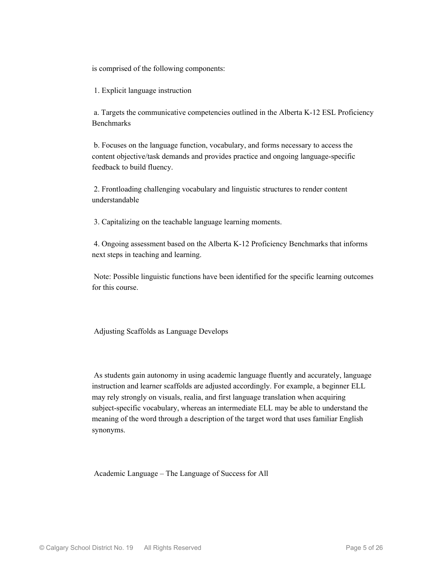is comprised of the following components:

1. Explicit language instruction

 a. Targets the communicative competencies outlined in the Alberta K-12 ESL Proficiency Benchmarks

 b. Focuses on the language function, vocabulary, and forms necessary to access the content objective/task demands and provides practice and ongoing language-specific feedback to build fluency.

 2. Frontloading challenging vocabulary and linguistic structures to render content understandable

3. Capitalizing on the teachable language learning moments.

 4. Ongoing assessment based on the Alberta K-12 Proficiency Benchmarks that informs next steps in teaching and learning.

 Note: Possible linguistic functions have been identified for the specific learning outcomes for this course.

Adjusting Scaffolds as Language Develops

 As students gain autonomy in using academic language fluently and accurately, language instruction and learner scaffolds are adjusted accordingly. For example, a beginner ELL may rely strongly on visuals, realia, and first language translation when acquiring subject-specific vocabulary, whereas an intermediate ELL may be able to understand the meaning of the word through a description of the target word that uses familiar English synonyms.

Academic Language – The Language of Success for All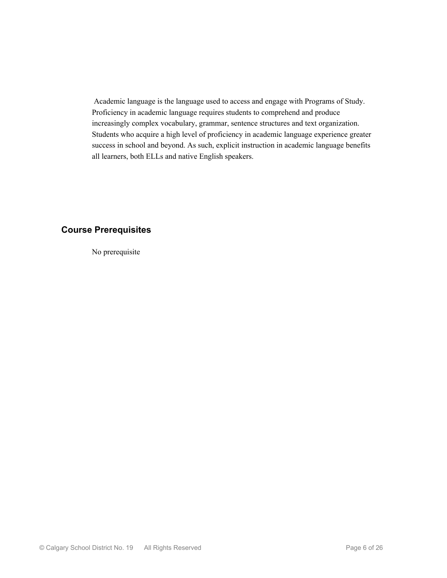Academic language is the language used to access and engage with Programs of Study. Proficiency in academic language requires students to comprehend and produce increasingly complex vocabulary, grammar, sentence structures and text organization. Students who acquire a high level of proficiency in academic language experience greater success in school and beyond. As such, explicit instruction in academic language benefits all learners, both ELLs and native English speakers.

### **Course Prerequisites**

No prerequisite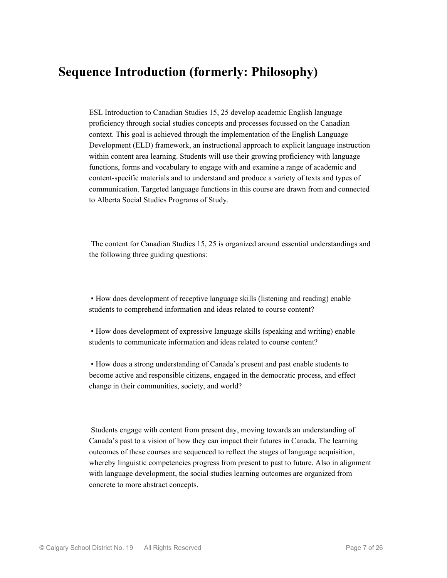## **Sequence Introduction (formerly: Philosophy)**

ESL Introduction to Canadian Studies 15, 25 develop academic English language proficiency through social studies concepts and processes focussed on the Canadian context. This goal is achieved through the implementation of the English Language Development (ELD) framework, an instructional approach to explicit language instruction within content area learning. Students will use their growing proficiency with language functions, forms and vocabulary to engage with and examine a range of academic and content-specific materials and to understand and produce a variety of texts and types of communication. Targeted language functions in this course are drawn from and connected to Alberta Social Studies Programs of Study.

 The content for Canadian Studies 15, 25 is organized around essential understandings and the following three guiding questions:

▪ How does development of receptive language skills (listening and reading) enable students to comprehend information and ideas related to course content?

▪ How does development of expressive language skills (speaking and writing) enable students to communicate information and ideas related to course content?

▪ How does a strong understanding of Canada's present and past enable students to become active and responsible citizens, engaged in the democratic process, and effect change in their communities, society, and world?

 Students engage with content from present day, moving towards an understanding of Canada's past to a vision of how they can impact their futures in Canada. The learning outcomes of these courses are sequenced to reflect the stages of language acquisition, whereby linguistic competencies progress from present to past to future. Also in alignment with language development, the social studies learning outcomes are organized from concrete to more abstract concepts.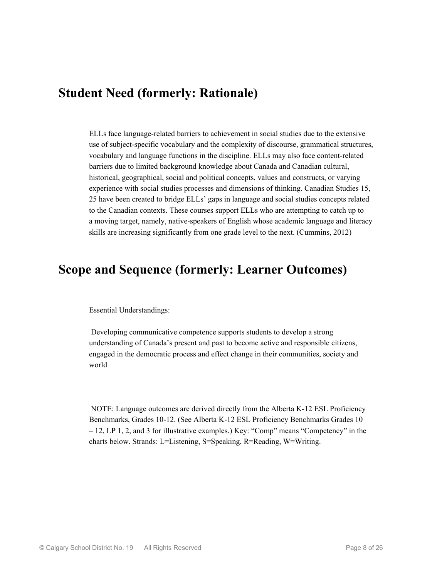## **Student Need (formerly: Rationale)**

ELLs face language-related barriers to achievement in social studies due to the extensive use of subject-specific vocabulary and the complexity of discourse, grammatical structures, vocabulary and language functions in the discipline. ELLs may also face content-related barriers due to limited background knowledge about Canada and Canadian cultural, historical, geographical, social and political concepts, values and constructs, or varying experience with social studies processes and dimensions of thinking. Canadian Studies 15, 25 have been created to bridge ELLs' gaps in language and social studies concepts related to the Canadian contexts. These courses support ELLs who are attempting to catch up to a moving target, namely, native-speakers of English whose academic language and literacy skills are increasing significantly from one grade level to the next. (Cummins, 2012)

## **Scope and Sequence (formerly: Learner Outcomes)**

Essential Understandings:

 Developing communicative competence supports students to develop a strong understanding of Canada's present and past to become active and responsible citizens, engaged in the democratic process and effect change in their communities, society and world

 NOTE: Language outcomes are derived directly from the Alberta K-12 ESL Proficiency Benchmarks, Grades 10-12. (See Alberta K-12 ESL Proficiency Benchmarks Grades 10 – 12, LP 1, 2, and 3 for illustrative examples.) Key: "Comp" means "Competency" in the charts below. Strands: L=Listening, S=Speaking, R=Reading, W=Writing.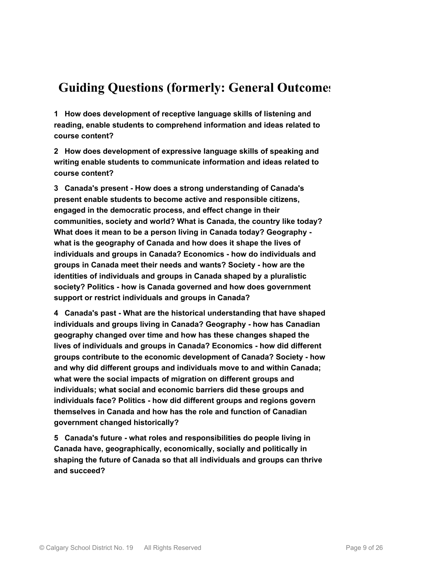# **Guiding Questions (formerly: General Outcomes)**

**1 How does development of receptive language skills of listening and reading, enable students to comprehend information and ideas related to course content?**

**2 How does development of expressive language skills of speaking and writing enable students to communicate information and ideas related to course content?**

**3 Canada's present - How does a strong understanding of Canada's present enable students to become active and responsible citizens, engaged in the democratic process, and effect change in their communities, society and world? What is Canada, the country like today? What does it mean to be a person living in Canada today? Geography what is the geography of Canada and how does it shape the lives of individuals and groups in Canada? Economics - how do individuals and groups in Canada meet their needs and wants? Society - how are the identities of individuals and groups in Canada shaped by a pluralistic society? Politics - how is Canada governed and how does government support or restrict individuals and groups in Canada?**

**4 Canada's past - What are the historical understanding that have shaped individuals and groups living in Canada? Geography - how has Canadian geography changed over time and how has these changes shaped the lives of individuals and groups in Canada? Economics - how did different groups contribute to the economic development of Canada? Society - how and why did different groups and individuals move to and within Canada; what were the social impacts of migration on different groups and individuals; what social and economic barriers did these groups and individuals face? Politics - how did different groups and regions govern themselves in Canada and how has the role and function of Canadian government changed historically?**

**5 Canada's future - what roles and responsibilities do people living in Canada have, geographically, economically, socially and politically in shaping the future of Canada so that all individuals and groups can thrive and succeed?**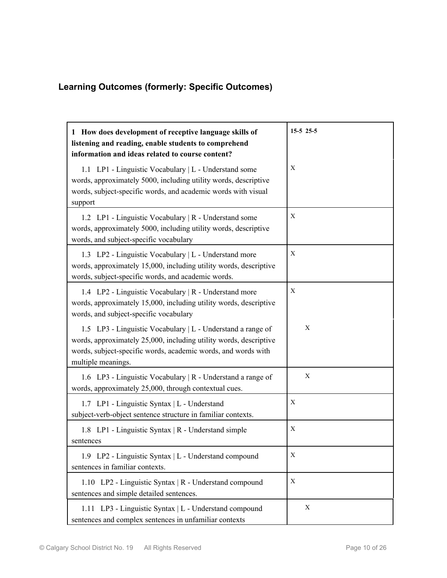## **Learning Outcomes (formerly: Specific Outcomes)**

| 1 How does development of receptive language skills of<br>listening and reading, enable students to comprehend<br>information and ideas related to course content?                                                      | $15-5$ 25-5 |
|-------------------------------------------------------------------------------------------------------------------------------------------------------------------------------------------------------------------------|-------------|
| 1.1 LP1 - Linguistic Vocabulary   L - Understand some<br>words, approximately 5000, including utility words, descriptive<br>words, subject-specific words, and academic words with visual<br>support                    | X           |
| 1.2 LP1 - Linguistic Vocabulary   R - Understand some<br>words, approximately 5000, including utility words, descriptive<br>words, and subject-specific vocabulary                                                      | X           |
| 1.3 LP2 - Linguistic Vocabulary   L - Understand more<br>words, approximately 15,000, including utility words, descriptive<br>words, subject-specific words, and academic words.                                        | X           |
| 1.4 LP2 - Linguistic Vocabulary   R - Understand more<br>words, approximately 15,000, including utility words, descriptive<br>words, and subject-specific vocabulary                                                    | Χ           |
| 1.5 LP3 - Linguistic Vocabulary   L - Understand a range of<br>words, approximately 25,000, including utility words, descriptive<br>words, subject-specific words, academic words, and words with<br>multiple meanings. | X           |
| 1.6 LP3 - Linguistic Vocabulary   R - Understand a range of<br>words, approximately 25,000, through contextual cues.                                                                                                    | X           |
| 1.7 LP1 - Linguistic Syntax   L - Understand<br>subject-verb-object sentence structure in familiar contexts.                                                                                                            | Χ           |
| 1.8 LP1 - Linguistic Syntax   R - Understand simple<br>sentences                                                                                                                                                        | Χ           |
| 1.9 LP2 - Linguistic Syntax   L - Understand compound<br>sentences in familiar contexts.                                                                                                                                | Χ           |
| 1.10 LP2 - Linguistic Syntax   R - Understand compound<br>sentences and simple detailed sentences.                                                                                                                      | X           |
| 1.11 LP3 - Linguistic Syntax   L - Understand compound<br>sentences and complex sentences in unfamiliar contexts                                                                                                        | X           |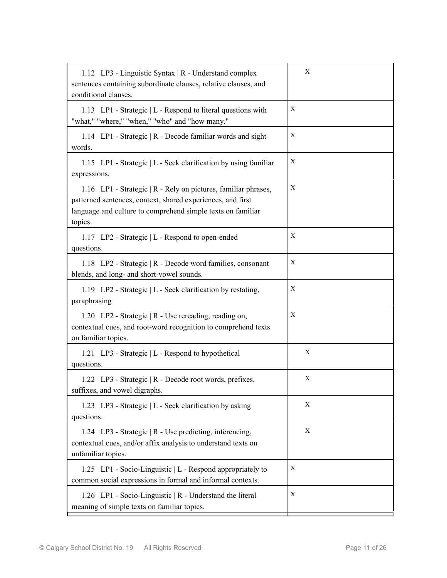| 1.12 LP3 - Linguistic Syntax   R - Understand complex<br>sentences containing subordinate clauses, relative clauses, and<br>conditional clauses.                                                        | X |
|---------------------------------------------------------------------------------------------------------------------------------------------------------------------------------------------------------|---|
| 1.13 LP1 - Strategic   L - Respond to literal questions with<br>"what," "where," "when," "who" and "how many."                                                                                          | X |
| 1.14 LP1 - Strategic   R - Decode familiar words and sight<br>words.                                                                                                                                    | X |
| 1.15 LP1 - Strategic   L - Seek clarification by using familiar<br>expressions.                                                                                                                         | X |
| 1.16 LP1 - Strategic   R - Rely on pictures, familiar phrases,<br>patterned sentences, context, shared experiences, and first<br>language and culture to comprehend simple texts on familiar<br>topics. | X |
| 1.17 LP2 - Strategic   L - Respond to open-ended<br>questions.                                                                                                                                          | Χ |
| 1.18 LP2 - Strategic   R - Decode word families, consonant<br>blends, and long- and short-vowel sounds.                                                                                                 | X |
| 1.19 LP2 - Strategic   L - Seek clarification by restating,<br>paraphrasing                                                                                                                             | Χ |
| 1.20 LP2 - Strategic   R - Use rereading, reading on,<br>contextual cues, and root-word recognition to comprehend texts<br>on familiar topics.                                                          | Χ |
| 1.21 LP3 - Strategic   L - Respond to hypothetical<br>questions.                                                                                                                                        | X |
| 1.22 LP3 - Strategic   R - Decode root words, prefixes,<br>suffixes, and vowel digraphs.                                                                                                                | X |
| 1.23 LP3 - Strategic   L - Seek clarification by asking<br>questions.                                                                                                                                   | X |
| 1.24 LP3 - Strategic   R - Use predicting, inferencing,<br>contextual cues, and/or affix analysis to understand texts on<br>unfamiliar topics.                                                          | X |
| 1.25 LP1 - Socio-Linguistic   L - Respond appropriately to<br>common social expressions in formal and informal contexts.                                                                                | Х |
| 1.26 LP1 - Socio-Linguistic   R - Understand the literal<br>meaning of simple texts on familiar topics.                                                                                                 | X |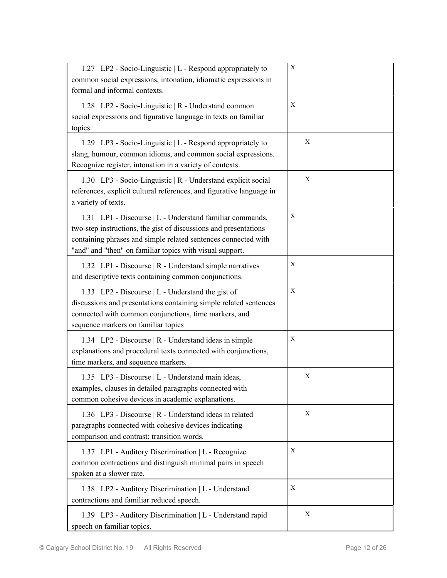| 1.27 LP2 - Socio-Linguistic   L - Respond appropriately to<br>common social expressions, intonation, idiomatic expressions in<br>formal and informal contexts.                                                                                             | X |
|------------------------------------------------------------------------------------------------------------------------------------------------------------------------------------------------------------------------------------------------------------|---|
| 1.28 LP2 - Socio-Linguistic   R - Understand common<br>social expressions and figurative language in texts on familiar<br>topics.                                                                                                                          | Χ |
| 1.29 LP3 - Socio-Linguistic   L - Respond appropriately to<br>slang, humour, common idioms, and common social expressions.<br>Recognize register, intonation in a variety of contexts.                                                                     | X |
| 1.30 LP3 - Socio-Linguistic   R - Understand explicit social<br>references, explicit cultural references, and figurative language in<br>a variety of texts.                                                                                                | X |
| 1.31 LP1 - Discourse   L - Understand familiar commands,<br>two-step instructions, the gist of discussions and presentations<br>containing phrases and simple related sentences connected with<br>"and" and "then" on familiar topics with visual support. | Χ |
| 1.32 LP1 - Discourse   R - Understand simple narratives<br>and descriptive texts containing common conjunctions.                                                                                                                                           | X |
| 1.33 LP2 - Discourse   L - Understand the gist of<br>discussions and presentations containing simple related sentences<br>connected with common conjunctions, time markers, and<br>sequence markers on familiar topics                                     | X |
| 1.34 LP2 - Discourse   R - Understand ideas in simple<br>explanations and procedural texts connected with conjunctions,<br>time markers, and sequence markers.                                                                                             | Χ |
| 1.35 LP3 - Discourse   L - Understand main ideas,<br>examples, clauses in detailed paragraphs connected with<br>common cohesive devices in academic explanations.                                                                                          | X |
| 1.36 LP3 - Discourse   R - Understand ideas in related<br>paragraphs connected with cohesive devices indicating<br>comparison and contrast; transition words.                                                                                              | X |
| 1.37 LP1 - Auditory Discrimination   L - Recognize<br>common contractions and distinguish minimal pairs in speech<br>spoken at a slower rate.                                                                                                              | Χ |
| 1.38 LP2 - Auditory Discrimination   L - Understand<br>contractions and familiar reduced speech.                                                                                                                                                           | Χ |
| 1.39 LP3 - Auditory Discrimination   L - Understand rapid<br>speech on familiar topics.                                                                                                                                                                    | X |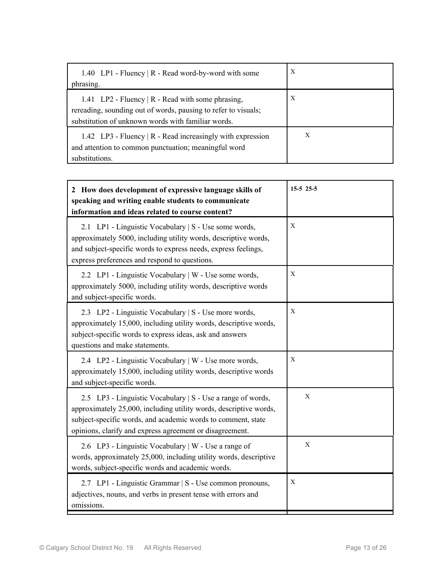| 1.40 LP1 - Fluency   R - Read word-by-word with some<br>phrasing.                                                                                                         | X |
|---------------------------------------------------------------------------------------------------------------------------------------------------------------------------|---|
| 1.41 LP2 - Fluency   R - Read with some phrasing,<br>rereading, sounding out of words, pausing to refer to visuals;<br>substitution of unknown words with familiar words. | X |
| 1.42 LP3 - Fluency $\mid$ R - Read increasingly with expression<br>and attention to common punctuation; meaningful word<br>substitutions.                                 | X |

| 2 How does development of expressive language skills of<br>speaking and writing enable students to communicate<br>information and ideas related to course content?                                                                                           | $15-5$ 25-5  |
|--------------------------------------------------------------------------------------------------------------------------------------------------------------------------------------------------------------------------------------------------------------|--------------|
| 2.1 LP1 - Linguistic Vocabulary   S - Use some words,<br>approximately 5000, including utility words, descriptive words,<br>and subject-specific words to express needs, express feelings,<br>express preferences and respond to questions.                  | X            |
| 2.2 LP1 - Linguistic Vocabulary   W - Use some words,<br>approximately 5000, including utility words, descriptive words<br>and subject-specific words.                                                                                                       | X            |
| 2.3 LP2 - Linguistic Vocabulary   S - Use more words,<br>approximately 15,000, including utility words, descriptive words,<br>subject-specific words to express ideas, ask and answers<br>questions and make statements.                                     | X            |
| 2.4 LP2 - Linguistic Vocabulary   W - Use more words,<br>approximately 15,000, including utility words, descriptive words<br>and subject-specific words.                                                                                                     | X            |
| 2.5 LP3 - Linguistic Vocabulary   S - Use a range of words,<br>approximately 25,000, including utility words, descriptive words,<br>subject-specific words, and academic words to comment, state<br>opinions, clarify and express agreement or disagreement. | $\mathbf{X}$ |
| 2.6 LP3 - Linguistic Vocabulary   W - Use a range of<br>words, approximately 25,000, including utility words, descriptive<br>words, subject-specific words and academic words.                                                                               | X            |
| 2.7 LP1 - Linguistic Grammar   S - Use common pronouns,<br>adjectives, nouns, and verbs in present tense with errors and<br>omissions.                                                                                                                       | X            |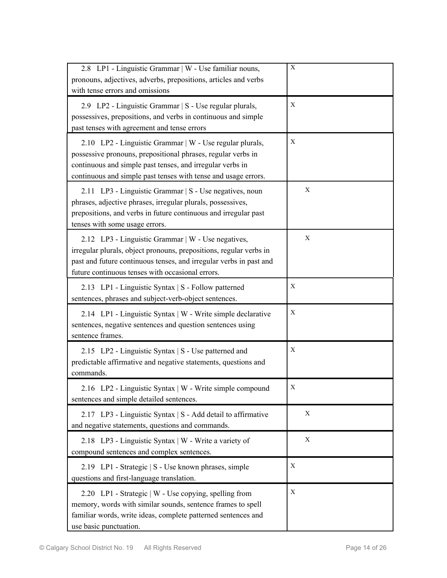| 2.8 LP1 - Linguistic Grammar   W - Use familiar nouns,<br>pronouns, adjectives, adverbs, prepositions, articles and verbs<br>with tense errors and omissions                                                                                            | X |
|---------------------------------------------------------------------------------------------------------------------------------------------------------------------------------------------------------------------------------------------------------|---|
| 2.9 LP2 - Linguistic Grammar   S - Use regular plurals,<br>possessives, prepositions, and verbs in continuous and simple<br>past tenses with agreement and tense errors                                                                                 | X |
| 2.10 LP2 - Linguistic Grammar   W - Use regular plurals,<br>possessive pronouns, prepositional phrases, regular verbs in<br>continuous and simple past tenses, and irregular verbs in<br>continuous and simple past tenses with tense and usage errors. | X |
| 2.11 LP3 - Linguistic Grammar   S - Use negatives, noun<br>phrases, adjective phrases, irregular plurals, possessives,<br>prepositions, and verbs in future continuous and irregular past<br>tenses with some usage errors.                             | X |
| 2.12 LP3 - Linguistic Grammar   W - Use negatives,<br>irregular plurals, object pronouns, prepositions, regular verbs in<br>past and future continuous tenses, and irregular verbs in past and<br>future continuous tenses with occasional errors.      | X |
| 2.13 LP1 - Linguistic Syntax   S - Follow patterned<br>sentences, phrases and subject-verb-object sentences.                                                                                                                                            | Χ |
| 2.14 LP1 - Linguistic Syntax   W - Write simple declarative<br>sentences, negative sentences and question sentences using<br>sentence frames.                                                                                                           | Χ |
| 2.15 LP2 - Linguistic Syntax   S - Use patterned and<br>predictable affirmative and negative statements, questions and<br>commands.                                                                                                                     | X |
| 2.16 LP2 - Linguistic Syntax   W - Write simple compound<br>sentences and simple detailed sentences.                                                                                                                                                    | Х |
| 2.17 LP3 - Linguistic Syntax   S - Add detail to affirmative<br>and negative statements, questions and commands.                                                                                                                                        | X |
| 2.18 LP3 - Linguistic Syntax   W - Write a variety of<br>compound sentences and complex sentences.                                                                                                                                                      | X |
| 2.19 LP1 - Strategic   S - Use known phrases, simple<br>questions and first-language translation.                                                                                                                                                       | Χ |
| 2.20 LP1 - Strategic   W - Use copying, spelling from<br>memory, words with similar sounds, sentence frames to spell<br>familiar words, write ideas, complete patterned sentences and<br>use basic punctuation.                                         | Χ |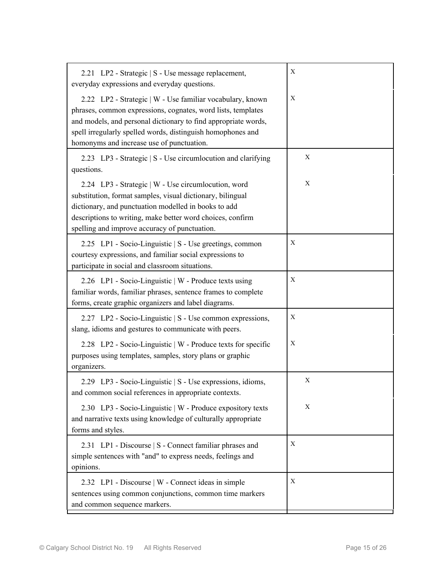| 2.21 LP2 - Strategic   S - Use message replacement,<br>everyday expressions and everyday questions.                                                                                                                                                                                                     | Χ |
|---------------------------------------------------------------------------------------------------------------------------------------------------------------------------------------------------------------------------------------------------------------------------------------------------------|---|
| 2.22 LP2 - Strategic   W - Use familiar vocabulary, known<br>phrases, common expressions, cognates, word lists, templates<br>and models, and personal dictionary to find appropriate words,<br>spell irregularly spelled words, distinguish homophones and<br>homonyms and increase use of punctuation. | X |
| 2.23 LP3 - Strategic   S - Use circumlocution and clarifying<br>questions.                                                                                                                                                                                                                              | X |
| 2.24 LP3 - Strategic   W - Use circumlocution, word<br>substitution, format samples, visual dictionary, bilingual<br>dictionary, and punctuation modelled in books to add<br>descriptions to writing, make better word choices, confirm<br>spelling and improve accuracy of punctuation.                | X |
| 2.25 LP1 - Socio-Linguistic   S - Use greetings, common<br>courtesy expressions, and familiar social expressions to<br>participate in social and classroom situations.                                                                                                                                  | Χ |
| 2.26 LP1 - Socio-Linguistic   W - Produce texts using<br>familiar words, familiar phrases, sentence frames to complete<br>forms, create graphic organizers and label diagrams.                                                                                                                          | Χ |
| 2.27 LP2 - Socio-Linguistic   S - Use common expressions,<br>slang, idioms and gestures to communicate with peers.                                                                                                                                                                                      | Χ |
| 2.28 LP2 - Socio-Linguistic   W - Produce texts for specific<br>purposes using templates, samples, story plans or graphic<br>organizers.                                                                                                                                                                | X |
| 2.29 LP3 - Socio-Linguistic   S - Use expressions, idioms,<br>and common social references in appropriate contexts.                                                                                                                                                                                     | Х |
| 2.30 LP3 - Socio-Linguistic   W - Produce expository texts<br>and narrative texts using knowledge of culturally appropriate<br>forms and styles.                                                                                                                                                        | Χ |
| 2.31 LP1 - Discourse   S - Connect familiar phrases and<br>simple sentences with "and" to express needs, feelings and<br>opinions.                                                                                                                                                                      | Χ |
| 2.32 LP1 - Discourse   W - Connect ideas in simple<br>sentences using common conjunctions, common time markers<br>and common sequence markers.                                                                                                                                                          | Χ |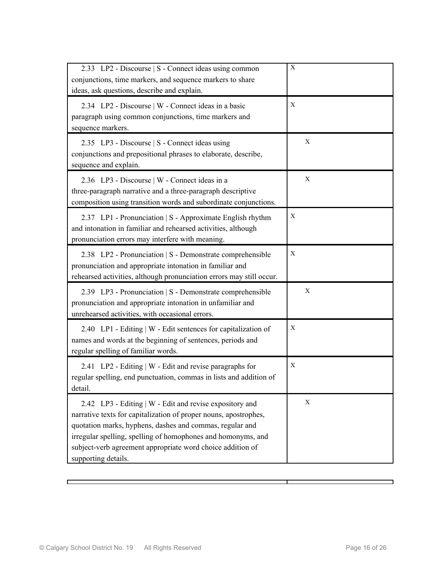| 2.33 LP2 - Discourse   S - Connect ideas using common<br>conjunctions, time markers, and sequence markers to share<br>ideas, ask questions, describe and explain.                                                                                                                                                                            | X |
|----------------------------------------------------------------------------------------------------------------------------------------------------------------------------------------------------------------------------------------------------------------------------------------------------------------------------------------------|---|
| 2.34 LP2 - Discourse   W - Connect ideas in a basic<br>paragraph using common conjunctions, time markers and<br>sequence markers.                                                                                                                                                                                                            | X |
| 2.35 LP3 - Discourse   S - Connect ideas using<br>conjunctions and prepositional phrases to elaborate, describe,<br>sequence and explain.                                                                                                                                                                                                    | X |
| 2.36 LP3 - Discourse   W - Connect ideas in a<br>three-paragraph narrative and a three-paragraph descriptive<br>composition using transition words and subordinate conjunctions.                                                                                                                                                             | X |
| 2.37 LP1 - Pronunciation   S - Approximate English rhythm<br>and intonation in familiar and rehearsed activities, although<br>pronunciation errors may interfere with meaning.                                                                                                                                                               | Χ |
| 2.38 LP2 - Pronunciation   S - Demonstrate comprehensible<br>pronunciation and appropriate intonation in familiar and<br>rehearsed activities, although pronunciation errors may still occur.                                                                                                                                                | X |
| 2.39 LP3 - Pronunciation   S - Demonstrate comprehensible<br>pronunciation and appropriate intonation in unfamiliar and<br>unrehearsed activities, with occasional errors.                                                                                                                                                                   | X |
| 2.40 LP1 - Editing   W - Edit sentences for capitalization of<br>names and words at the beginning of sentences, periods and<br>regular spelling of familiar words.                                                                                                                                                                           | X |
| 2.41 LP2 - Editing   W - Edit and revise paragraphs for<br>regular spelling, end punctuation, commas in lists and addition of<br>detail.                                                                                                                                                                                                     | X |
| 2.42 LP3 - Editing   W - Edit and revise expository and<br>narrative texts for capitalization of proper nouns, apostrophes,<br>quotation marks, hyphens, dashes and commas, regular and<br>irregular spelling, spelling of homophones and homonyms, and<br>subject-verb agreement appropriate word choice addition of<br>supporting details. | X |

D

٦

т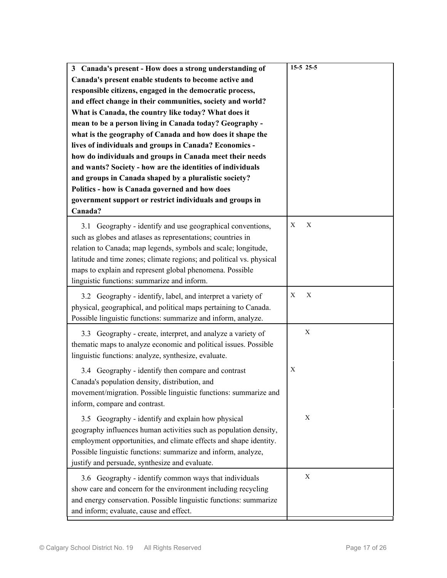| 3 Canada's present - How does a strong understanding of<br>Canada's present enable students to become active and<br>responsible citizens, engaged in the democratic process,<br>and effect change in their communities, society and world?<br>What is Canada, the country like today? What does it<br>mean to be a person living in Canada today? Geography -<br>what is the geography of Canada and how does it shape the<br>lives of individuals and groups in Canada? Economics -<br>how do individuals and groups in Canada meet their needs<br>and wants? Society - how are the identities of individuals<br>and groups in Canada shaped by a pluralistic society?<br>Politics - how is Canada governed and how does<br>government support or restrict individuals and groups in<br>Canada? | $15-5$ 25-5 |
|--------------------------------------------------------------------------------------------------------------------------------------------------------------------------------------------------------------------------------------------------------------------------------------------------------------------------------------------------------------------------------------------------------------------------------------------------------------------------------------------------------------------------------------------------------------------------------------------------------------------------------------------------------------------------------------------------------------------------------------------------------------------------------------------------|-------------|
| 3.1 Geography - identify and use geographical conventions,<br>such as globes and atlases as representations; countries in<br>relation to Canada; map legends, symbols and scale; longitude,<br>latitude and time zones; climate regions; and political vs. physical<br>maps to explain and represent global phenomena. Possible<br>linguistic functions: summarize and inform.                                                                                                                                                                                                                                                                                                                                                                                                                   | Χ<br>X      |
| 3.2 Geography - identify, label, and interpret a variety of<br>physical, geographical, and political maps pertaining to Canada.<br>Possible linguistic functions: summarize and inform, analyze.                                                                                                                                                                                                                                                                                                                                                                                                                                                                                                                                                                                                 | X<br>X      |
| 3.3 Geography - create, interpret, and analyze a variety of<br>thematic maps to analyze economic and political issues. Possible<br>linguistic functions: analyze, synthesize, evaluate.                                                                                                                                                                                                                                                                                                                                                                                                                                                                                                                                                                                                          | X           |
| 3.4 Geography - identify then compare and contrast<br>Canada's population density, distribution, and<br>movement/migration. Possible linguistic functions: summarize and<br>inform, compare and contrast.                                                                                                                                                                                                                                                                                                                                                                                                                                                                                                                                                                                        | X           |
| 3.5 Geography - identify and explain how physical<br>geography influences human activities such as population density,<br>employment opportunities, and climate effects and shape identity.<br>Possible linguistic functions: summarize and inform, analyze,<br>justify and persuade, synthesize and evaluate.                                                                                                                                                                                                                                                                                                                                                                                                                                                                                   | Χ           |
| 3.6 Geography - identify common ways that individuals<br>show care and concern for the environment including recycling<br>and energy conservation. Possible linguistic functions: summarize<br>and inform; evaluate, cause and effect.                                                                                                                                                                                                                                                                                                                                                                                                                                                                                                                                                           | Χ           |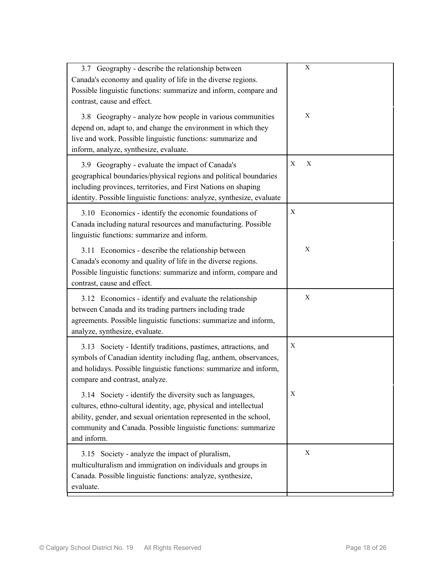| 3.7 Geography - describe the relationship between<br>Canada's economy and quality of life in the diverse regions.<br>Possible linguistic functions: summarize and inform, compare and<br>contrast, cause and effect.                                                                 | Χ      |
|--------------------------------------------------------------------------------------------------------------------------------------------------------------------------------------------------------------------------------------------------------------------------------------|--------|
| 3.8 Geography - analyze how people in various communities<br>depend on, adapt to, and change the environment in which they<br>live and work. Possible linguistic functions: summarize and<br>inform, analyze, synthesize, evaluate.                                                  | Χ      |
| 3.9 Geography - evaluate the impact of Canada's<br>geographical boundaries/physical regions and political boundaries<br>including provinces, territories, and First Nations on shaping<br>identity. Possible linguistic functions: analyze, synthesize, evaluate                     | X<br>X |
| 3.10 Economics - identify the economic foundations of<br>Canada including natural resources and manufacturing. Possible<br>linguistic functions: summarize and inform.                                                                                                               | X      |
| 3.11 Economics - describe the relationship between<br>Canada's economy and quality of life in the diverse regions.<br>Possible linguistic functions: summarize and inform, compare and<br>contrast, cause and effect.                                                                | X      |
| 3.12 Economics - identify and evaluate the relationship<br>between Canada and its trading partners including trade<br>agreements. Possible linguistic functions: summarize and inform,<br>analyze, synthesize, evaluate.                                                             | X      |
| 3.13 Society - Identify traditions, pastimes, attractions, and<br>symbols of Canadian identity including flag, anthem, observances,<br>and holidays. Possible linguistic functions: summarize and inform,<br>compare and contrast, analyze.                                          | X      |
| 3.14 Society - identify the diversity such as languages,<br>cultures, ethno-cultural identity, age, physical and intellectual<br>ability, gender, and sexual orientation represented in the school,<br>community and Canada. Possible linguistic functions: summarize<br>and inform. | Χ      |
| 3.15 Society - analyze the impact of pluralism,<br>multiculturalism and immigration on individuals and groups in<br>Canada. Possible linguistic functions: analyze, synthesize,<br>evaluate.                                                                                         | Χ      |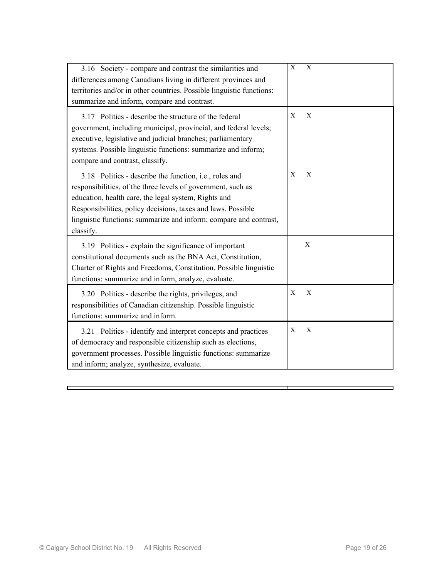| 3.16 Society - compare and contrast the similarities and<br>differences among Canadians living in different provinces and<br>territories and/or in other countries. Possible linguistic functions:<br>summarize and inform, compare and contrast.                                                                                        | X | $\mathbf{X}$              |
|------------------------------------------------------------------------------------------------------------------------------------------------------------------------------------------------------------------------------------------------------------------------------------------------------------------------------------------|---|---------------------------|
| 3.17 Politics - describe the structure of the federal<br>government, including municipal, provincial, and federal levels;<br>executive, legislative and judicial branches; parliamentary<br>systems. Possible linguistic functions: summarize and inform;<br>compare and contrast, classify.                                             | X | X                         |
| 3.18 Politics - describe the function, <i>i.e.</i> , roles and<br>responsibilities, of the three levels of government, such as<br>education, health care, the legal system, Rights and<br>Responsibilities, policy decisions, taxes and laws. Possible<br>linguistic functions: summarize and inform; compare and contrast,<br>classify. | X | X                         |
| 3.19 Politics - explain the significance of important<br>constitutional documents such as the BNA Act, Constitution,<br>Charter of Rights and Freedoms, Constitution. Possible linguistic<br>functions: summarize and inform, analyze, evaluate.                                                                                         |   | X                         |
| 3.20 Politics - describe the rights, privileges, and<br>responsibilities of Canadian citizenship. Possible linguistic<br>functions: summarize and inform.                                                                                                                                                                                | X | X                         |
| 3.21 Politics - identify and interpret concepts and practices<br>of democracy and responsible citizenship such as elections,<br>government processes. Possible linguistic functions: summarize<br>and inform; analyze, synthesize, evaluate.                                                                                             | X | $\boldsymbol{\mathrm{X}}$ |

т

 $\Box$ 

٦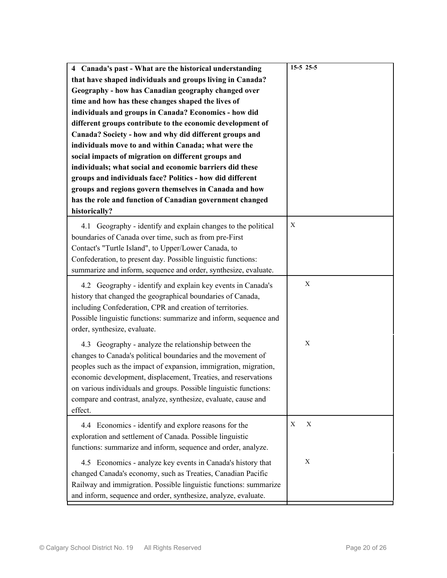| 4 Canada's past - What are the historical understanding<br>that have shaped individuals and groups living in Canada?<br>Geography - how has Canadian geography changed over<br>time and how has these changes shaped the lives of<br>individuals and groups in Canada? Economics - how did<br>different groups contribute to the economic development of<br>Canada? Society - how and why did different groups and<br>individuals move to and within Canada; what were the<br>social impacts of migration on different groups and<br>individuals; what social and economic barriers did these<br>groups and individuals face? Politics - how did different<br>groups and regions govern themselves in Canada and how<br>has the role and function of Canadian government changed<br>historically? | $15-5$ 25-5 |
|---------------------------------------------------------------------------------------------------------------------------------------------------------------------------------------------------------------------------------------------------------------------------------------------------------------------------------------------------------------------------------------------------------------------------------------------------------------------------------------------------------------------------------------------------------------------------------------------------------------------------------------------------------------------------------------------------------------------------------------------------------------------------------------------------|-------------|
| 4.1 Geography - identify and explain changes to the political<br>boundaries of Canada over time, such as from pre-First<br>Contact's "Turtle Island", to Upper/Lower Canada, to<br>Confederation, to present day. Possible linguistic functions:<br>summarize and inform, sequence and order, synthesize, evaluate.                                                                                                                                                                                                                                                                                                                                                                                                                                                                               | X           |
| 4.2 Geography - identify and explain key events in Canada's<br>history that changed the geographical boundaries of Canada,<br>including Confederation, CPR and creation of territories.<br>Possible linguistic functions: summarize and inform, sequence and<br>order, synthesize, evaluate.                                                                                                                                                                                                                                                                                                                                                                                                                                                                                                      | X           |
| 4.3 Geography - analyze the relationship between the<br>changes to Canada's political boundaries and the movement of<br>peoples such as the impact of expansion, immigration, migration,<br>economic development, displacement, Treaties, and reservations<br>on various individuals and groups. Possible linguistic functions:<br>compare and contrast, analyze, synthesize, evaluate, cause and<br>effect.                                                                                                                                                                                                                                                                                                                                                                                      | X           |
| 4.4 Economics - identify and explore reasons for the<br>exploration and settlement of Canada. Possible linguistic<br>functions: summarize and inform, sequence and order, analyze.                                                                                                                                                                                                                                                                                                                                                                                                                                                                                                                                                                                                                | Χ<br>X      |
| 4.5 Economics - analyze key events in Canada's history that<br>changed Canada's economy, such as Treaties, Canadian Pacific<br>Railway and immigration. Possible linguistic functions: summarize<br>and inform, sequence and order, synthesize, analyze, evaluate.                                                                                                                                                                                                                                                                                                                                                                                                                                                                                                                                | X           |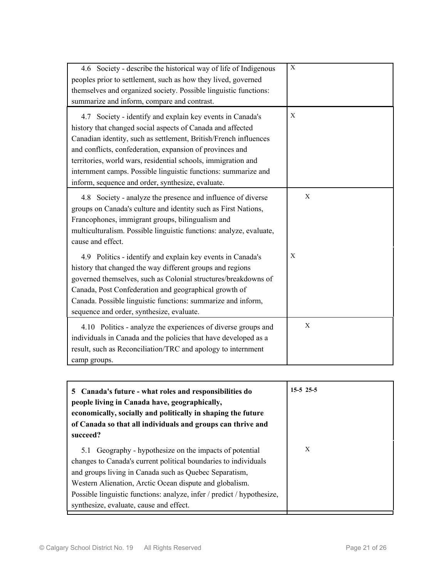| 4.6 Society - describe the historical way of life of Indigenous<br>peoples prior to settlement, such as how they lived, governed<br>themselves and organized society. Possible linguistic functions:<br>summarize and inform, compare and contrast.                                                                                                                                                                                             | $\mathbf X$ |
|-------------------------------------------------------------------------------------------------------------------------------------------------------------------------------------------------------------------------------------------------------------------------------------------------------------------------------------------------------------------------------------------------------------------------------------------------|-------------|
| 4.7 Society - identify and explain key events in Canada's<br>history that changed social aspects of Canada and affected<br>Canadian identity, such as settlement, British/French influences<br>and conflicts, confederation, expansion of provinces and<br>territories, world wars, residential schools, immigration and<br>internment camps. Possible linguistic functions: summarize and<br>inform, sequence and order, synthesize, evaluate. | X           |
| 4.8 Society - analyze the presence and influence of diverse<br>groups on Canada's culture and identity such as First Nations,<br>Francophones, immigrant groups, bilingualism and<br>multiculturalism. Possible linguistic functions: analyze, evaluate,<br>cause and effect.                                                                                                                                                                   | X           |
| 4.9 Politics - identify and explain key events in Canada's<br>history that changed the way different groups and regions<br>governed themselves, such as Colonial structures/breakdowns of<br>Canada, Post Confederation and geographical growth of<br>Canada. Possible linguistic functions: summarize and inform,<br>sequence and order, synthesize, evaluate.                                                                                 | X           |
| 4.10 Politics - analyze the experiences of diverse groups and<br>individuals in Canada and the policies that have developed as a<br>result, such as Reconciliation/TRC and apology to internment<br>camp groups.                                                                                                                                                                                                                                | X           |

| 5 Canada's future - what roles and responsibilities do<br>people living in Canada have, geographically,<br>economically, socially and politically in shaping the future<br>of Canada so that all individuals and groups can thrive and<br>succeed?                                                                                                                   | $15-5$ 25-5 |
|----------------------------------------------------------------------------------------------------------------------------------------------------------------------------------------------------------------------------------------------------------------------------------------------------------------------------------------------------------------------|-------------|
| 5.1 Geography - hypothesize on the impacts of potential<br>changes to Canada's current political boundaries to individuals<br>and groups living in Canada such as Quebec Separatism,<br>Western Alienation, Arctic Ocean dispute and globalism.<br>Possible linguistic functions: analyze, infer / predict / hypothesize,<br>synthesize, evaluate, cause and effect. | X           |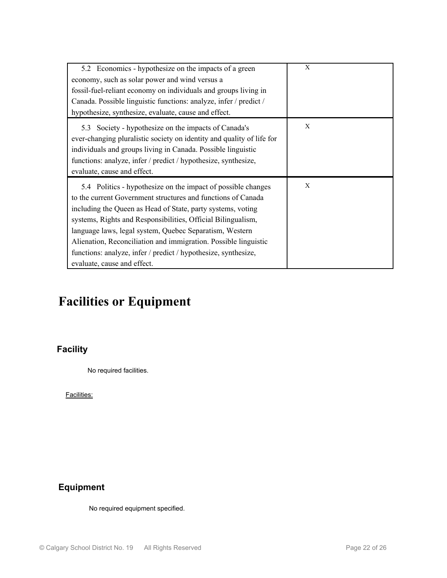| 5.2 Economics - hypothesize on the impacts of a green<br>economy, such as solar power and wind versus a<br>fossil-fuel-reliant economy on individuals and groups living in<br>Canada. Possible linguistic functions: analyze, infer / predict /<br>hypothesize, synthesize, evaluate, cause and effect.                                                                                                                                                                                    | X |
|--------------------------------------------------------------------------------------------------------------------------------------------------------------------------------------------------------------------------------------------------------------------------------------------------------------------------------------------------------------------------------------------------------------------------------------------------------------------------------------------|---|
| 5.3 Society - hypothesize on the impacts of Canada's<br>ever-changing pluralistic society on identity and quality of life for<br>individuals and groups living in Canada. Possible linguistic<br>functions: analyze, infer / predict / hypothesize, synthesize,<br>evaluate, cause and effect.                                                                                                                                                                                             | X |
| 5.4 Politics - hypothesize on the impact of possible changes<br>to the current Government structures and functions of Canada<br>including the Queen as Head of State, party systems, voting<br>systems, Rights and Responsibilities, Official Bilingualism,<br>language laws, legal system, Quebec Separatism, Western<br>Alienation, Reconciliation and immigration. Possible linguistic<br>functions: analyze, infer / predict / hypothesize, synthesize,<br>evaluate, cause and effect. | X |

# **Facilities or Equipment**

## **Facility**

No required facilities.

Facilities:

## **Equipment**

No required equipment specified.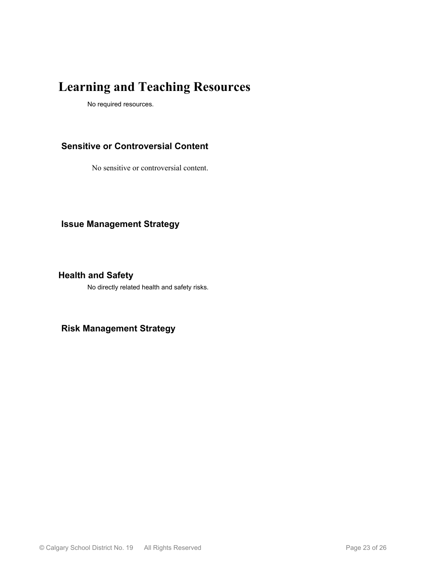# **Learning and Teaching Resources**

No required resources.

### **Sensitive or Controversial Content**

No sensitive or controversial content.

**Issue Management Strategy**

**Health and Safety**

No directly related health and safety risks.

**Risk Management Strategy**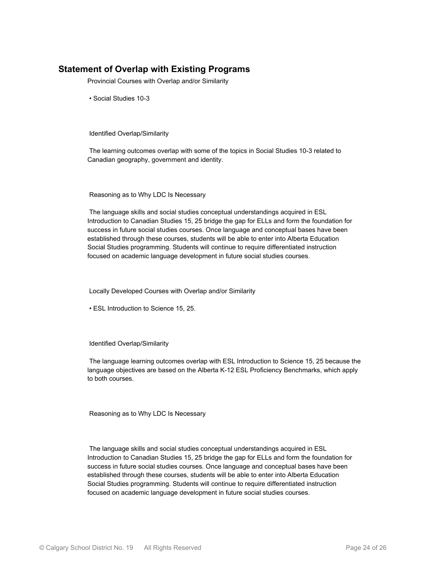### **Statement of Overlap with Existing Programs**

Provincial Courses with Overlap and/or Similarity

• Social Studies 10-3

Identified Overlap/Similarity

 The learning outcomes overlap with some of the topics in Social Studies 10-3 related to Canadian geography, government and identity.

Reasoning as to Why LDC Is Necessary

 The language skills and social studies conceptual understandings acquired in ESL Introduction to Canadian Studies 15, 25 bridge the gap for ELLs and form the foundation for success in future social studies courses. Once language and conceptual bases have been established through these courses, students will be able to enter into Alberta Education Social Studies programming. Students will continue to require differentiated instruction focused on academic language development in future social studies courses.

Locally Developed Courses with Overlap and/or Similarity

• ESL Introduction to Science 15, 25.

Identified Overlap/Similarity

 The language learning outcomes overlap with ESL Introduction to Science 15, 25 because the language objectives are based on the Alberta K-12 ESL Proficiency Benchmarks, which apply to both courses.

Reasoning as to Why LDC Is Necessary

 The language skills and social studies conceptual understandings acquired in ESL Introduction to Canadian Studies 15, 25 bridge the gap for ELLs and form the foundation for success in future social studies courses. Once language and conceptual bases have been established through these courses, students will be able to enter into Alberta Education Social Studies programming. Students will continue to require differentiated instruction focused on academic language development in future social studies courses.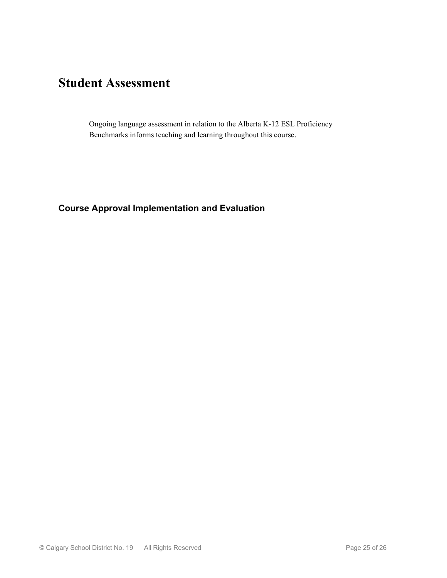# **Student Assessment**

Ongoing language assessment in relation to the Alberta K-12 ESL Proficiency Benchmarks informs teaching and learning throughout this course.

### **Course Approval Implementation and Evaluation**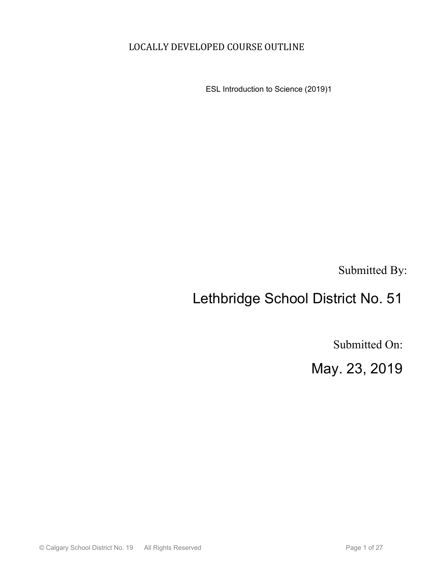## LOCALLY DEVELOPED COURSE OUTLINE

ESL Introduction to Science (2019)1

Submitted By:

# Lethbridge School District No. 51

Submitted On:

May. 23, 2019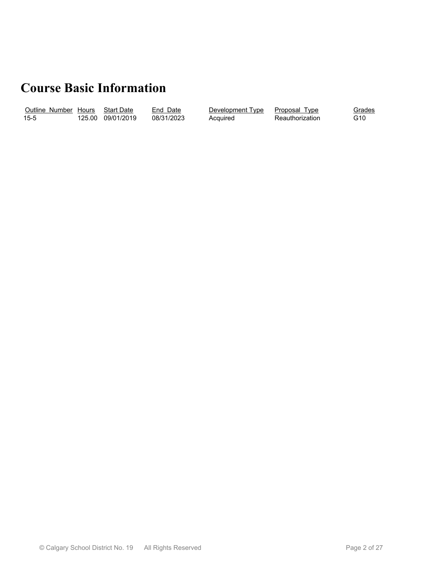# **Course Basic Information**

| Outline Number |        | Hours Start Date | Date<br>End | Development Type | Proposal<br>I vpe | iradesد |
|----------------|--------|------------------|-------------|------------------|-------------------|---------|
| $15-5$         | 125.00 | 09/01/2019       | 08/31/2023  | Acauired         | Reauthorization   | G10     |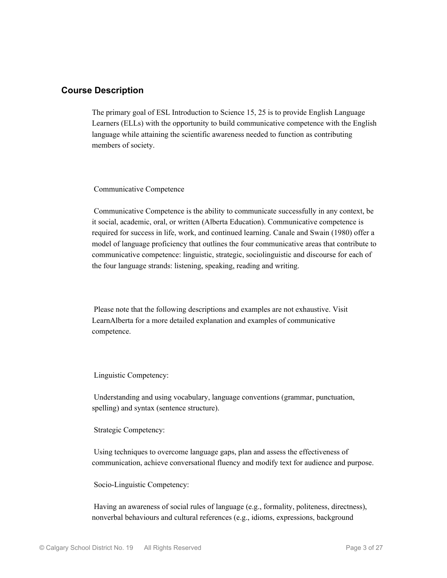#### **Course Description**

The primary goal of ESL Introduction to Science 15, 25 is to provide English Language Learners (ELLs) with the opportunity to build communicative competence with the English language while attaining the scientific awareness needed to function as contributing members of society.

Communicative Competence

 Communicative Competence is the ability to communicate successfully in any context, be it social, academic, oral, or written (Alberta Education). Communicative competence is required for success in life, work, and continued learning. Canale and Swain (1980) offer a model of language proficiency that outlines the four communicative areas that contribute to communicative competence: linguistic, strategic, sociolinguistic and discourse for each of the four language strands: listening, speaking, reading and writing.

 Please note that the following descriptions and examples are not exhaustive. Visit LearnAlberta for a more detailed explanation and examples of communicative competence.

Linguistic Competency:

 Understanding and using vocabulary, language conventions (grammar, punctuation, spelling) and syntax (sentence structure).

Strategic Competency:

 Using techniques to overcome language gaps, plan and assess the effectiveness of communication, achieve conversational fluency and modify text for audience and purpose.

Socio-Linguistic Competency:

 Having an awareness of social rules of language (e.g., formality, politeness, directness), nonverbal behaviours and cultural references (e.g., idioms, expressions, background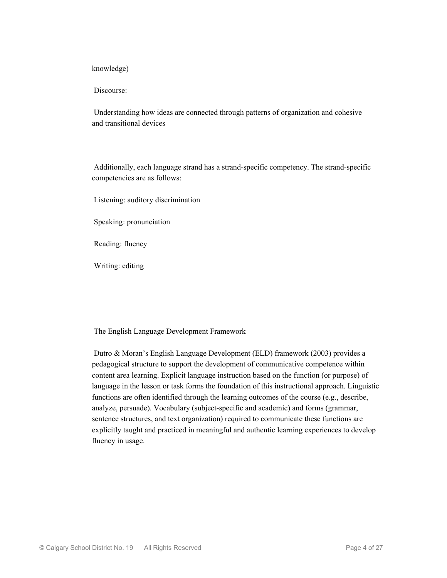knowledge)

Discourse:

 Understanding how ideas are connected through patterns of organization and cohesive and transitional devices

 Additionally, each language strand has a strand-specific competency. The strand-specific competencies are as follows:

Listening: auditory discrimination

Speaking: pronunciation

Reading: fluency

Writing: editing

The English Language Development Framework

 Dutro & Moran's English Language Development (ELD) framework (2003) provides a pedagogical structure to support the development of communicative competence within content area learning. Explicit language instruction based on the function (or purpose) of language in the lesson or task forms the foundation of this instructional approach. Linguistic functions are often identified through the learning outcomes of the course (e.g., describe, analyze, persuade). Vocabulary (subject-specific and academic) and forms (grammar, sentence structures, and text organization) required to communicate these functions are explicitly taught and practiced in meaningful and authentic learning experiences to develop fluency in usage.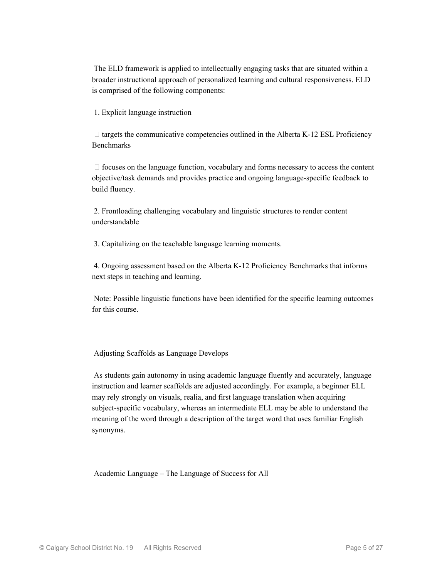The ELD framework is applied to intellectually engaging tasks that are situated within a broader instructional approach of personalized learning and cultural responsiveness. ELD is comprised of the following components:

1. Explicit language instruction

 $\Box$  targets the communicative competencies outlined in the Alberta K-12 ESL Proficiency Benchmarks

 $\Box$  focuses on the language function, vocabulary and forms necessary to access the content objective/task demands and provides practice and ongoing language-specific feedback to build fluency.

 2. Frontloading challenging vocabulary and linguistic structures to render content understandable

3. Capitalizing on the teachable language learning moments.

 4. Ongoing assessment based on the Alberta K-12 Proficiency Benchmarks that informs next steps in teaching and learning.

 Note: Possible linguistic functions have been identified for the specific learning outcomes for this course.

Adjusting Scaffolds as Language Develops

 As students gain autonomy in using academic language fluently and accurately, language instruction and learner scaffolds are adjusted accordingly. For example, a beginner ELL may rely strongly on visuals, realia, and first language translation when acquiring subject-specific vocabulary, whereas an intermediate ELL may be able to understand the meaning of the word through a description of the target word that uses familiar English synonyms.

Academic Language – The Language of Success for All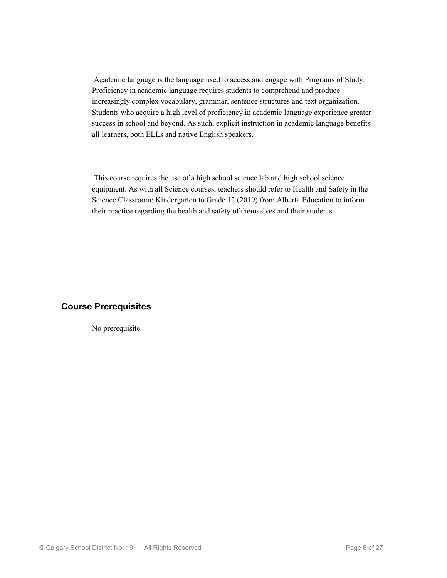Academic language is the language used to access and engage with Programs of Study. Proficiency in academic language requires students to comprehend and produce increasingly complex vocabulary, grammar, sentence structures and text organization. Students who acquire a high level of proficiency in academic language experience greater success in school and beyond. As such, explicit instruction in academic language benefits all learners, both ELLs and native English speakers.

 This course requires the use of a high school science lab and high school science equipment. As with all Science courses, teachers should refer to Health and Safety in the Science Classroom: Kindergarten to Grade 12 (2019) from Alberta Education to inform their practice regarding the health and safety of themselves and their students.

#### **Course Prerequisites**

No prerequisite.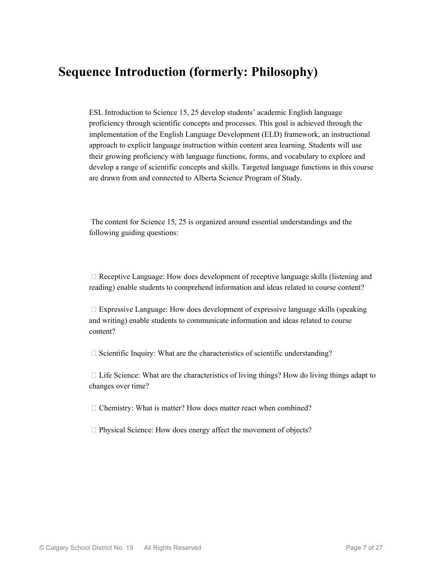## **Sequence Introduction (formerly: Philosophy)**

ESL Introduction to Science 15, 25 develop students' academic English language proficiency through scientific concepts and processes. This goal is achieved through the implementation of the English Language Development (ELD) framework, an instructional approach to explicit language instruction within content area learning. Students will use their growing proficiency with language functions, forms, and vocabulary to explore and develop a range of scientific concepts and skills. Targeted language functions in this course are drawn from and connected to Alberta Science Program of Study.

 The content for Science 15, 25 is organized around essential understandings and the following guiding questions:

 $\Box$  Receptive Language: How does development of receptive language skills (listening and reading) enable students to comprehend information and ideas related to course content?

 $\Box$  Expressive Language: How does development of expressive language skills (speaking and writing) enable students to communicate information and ideas related to course content?

 $\Box$  Scientific Inquiry: What are the characteristics of scientific understanding?

 $\Box$  Life Science: What are the characteristics of living things? How do living things adapt to changes over time?

 $\Box$  Chemistry: What is matter? How does matter react when combined?

 $\Box$  Physical Science: How does energy affect the movement of objects?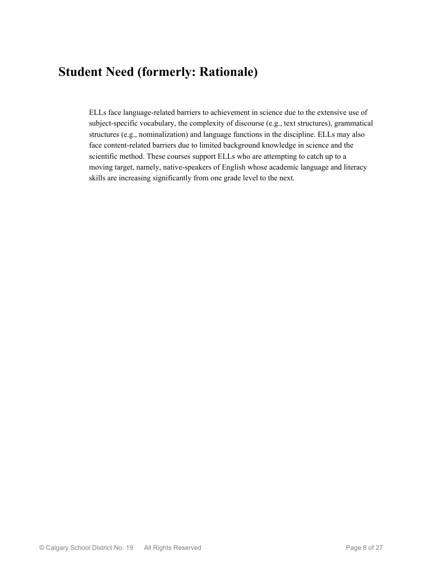## **Student Need (formerly: Rationale)**

ELLs face language-related barriers to achievement in science due to the extensive use of subject-specific vocabulary, the complexity of discourse (e.g., text structures), grammatical structures (e.g., nominalization) and language functions in the discipline. ELLs may also face content-related barriers due to limited background knowledge in science and the scientific method. These courses support ELLs who are attempting to catch up to a moving target, namely, native-speakers of English whose academic language and literacy skills are increasing significantly from one grade level to the next.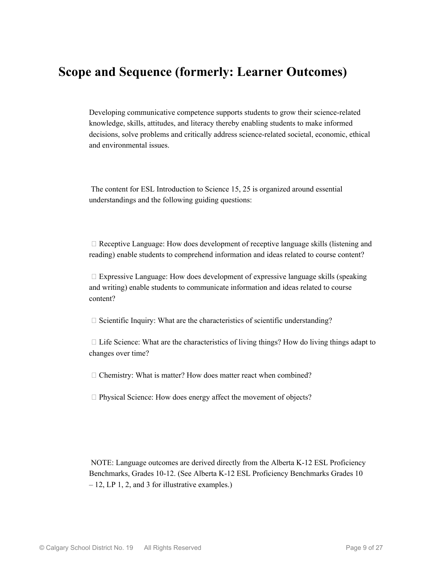## **Scope and Sequence (formerly: Learner Outcomes)**

Developing communicative competence supports students to grow their science-related knowledge, skills, attitudes, and literacy thereby enabling students to make informed decisions, solve problems and critically address science-related societal, economic, ethical and environmental issues.

 The content for ESL Introduction to Science 15, 25 is organized around essential understandings and the following guiding questions:

 $\Box$  Receptive Language: How does development of receptive language skills (listening and reading) enable students to comprehend information and ideas related to course content?

 $\Box$  Expressive Language: How does development of expressive language skills (speaking and writing) enable students to communicate information and ideas related to course content?

 $\Box$  Scientific Inquiry: What are the characteristics of scientific understanding?

 $\Box$  Life Science: What are the characteristics of living things? How do living things adapt to changes over time?

 $\Box$  Chemistry: What is matter? How does matter react when combined?

 $\Box$  Physical Science: How does energy affect the movement of objects?

 NOTE: Language outcomes are derived directly from the Alberta K-12 ESL Proficiency Benchmarks, Grades 10-12. (See Alberta K-12 ESL Proficiency Benchmarks Grades 10 – 12, LP 1, 2, and 3 for illustrative examples.)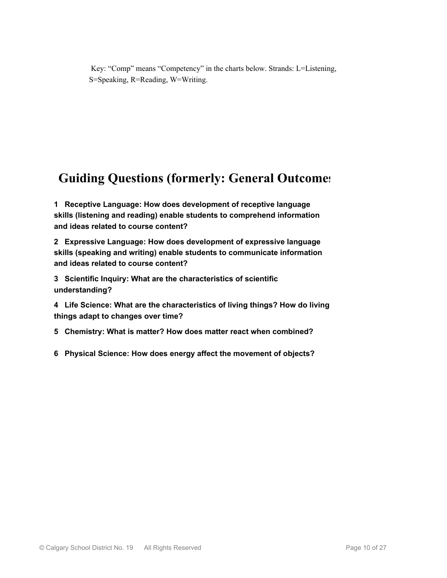Key: "Comp" means "Competency" in the charts below. Strands: L=Listening, S=Speaking, R=Reading, W=Writing.

# **Guiding Questions (formerly: General Outcomes)**

**1 Receptive Language: How does development of receptive language skills (listening and reading) enable students to comprehend information and ideas related to course content?**

**2 Expressive Language: How does development of expressive language skills (speaking and writing) enable students to communicate information and ideas related to course content?**

**3 Scientific Inquiry: What are the characteristics of scientific understanding?**

**4 Life Science: What are the characteristics of living things? How do living things adapt to changes over time?**

**5 Chemistry: What is matter? How does matter react when combined?**

**6 Physical Science: How does energy affect the movement of objects?**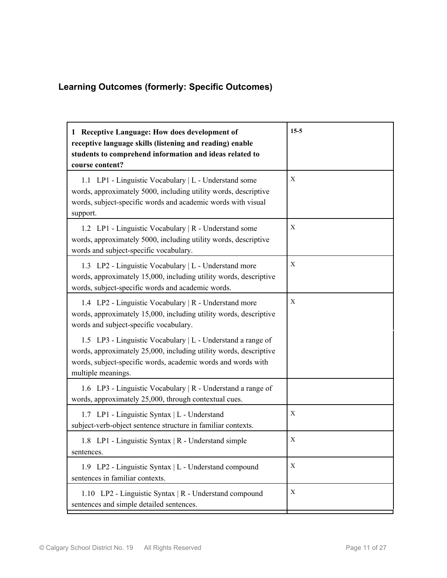## **Learning Outcomes (formerly: Specific Outcomes)**

| 1 Receptive Language: How does development of<br>receptive language skills (listening and reading) enable<br>students to comprehend information and ideas related to<br>course content?                                | $15-5$ |
|------------------------------------------------------------------------------------------------------------------------------------------------------------------------------------------------------------------------|--------|
| 1.1 LP1 - Linguistic Vocabulary   L - Understand some<br>words, approximately 5000, including utility words, descriptive<br>words, subject-specific words and academic words with visual<br>support.                   | Χ      |
| 1.2 LP1 - Linguistic Vocabulary   R - Understand some<br>words, approximately 5000, including utility words, descriptive<br>words and subject-specific vocabulary.                                                     | X      |
| 1.3 LP2 - Linguistic Vocabulary   L - Understand more<br>words, approximately 15,000, including utility words, descriptive<br>words, subject-specific words and academic words.                                        | X      |
| 1.4 LP2 - Linguistic Vocabulary   R - Understand more<br>words, approximately 15,000, including utility words, descriptive<br>words and subject-specific vocabulary.                                                   | X      |
| 1.5 LP3 - Linguistic Vocabulary   L - Understand a range of<br>words, approximately 25,000, including utility words, descriptive<br>words, subject-specific words, academic words and words with<br>multiple meanings. |        |
| 1.6 LP3 - Linguistic Vocabulary   R - Understand a range of<br>words, approximately 25,000, through contextual cues.                                                                                                   |        |
| 1.7 LP1 - Linguistic Syntax   L - Understand<br>subject-verb-object sentence structure in familiar contexts.                                                                                                           | X      |
| 1.8 LP1 - Linguistic Syntax   R - Understand simple<br>sentences.                                                                                                                                                      | X      |
| 1.9 LP2 - Linguistic Syntax   L - Understand compound<br>sentences in familiar contexts.                                                                                                                               | X      |
| 1.10 LP2 - Linguistic Syntax   R - Understand compound<br>sentences and simple detailed sentences.                                                                                                                     | X      |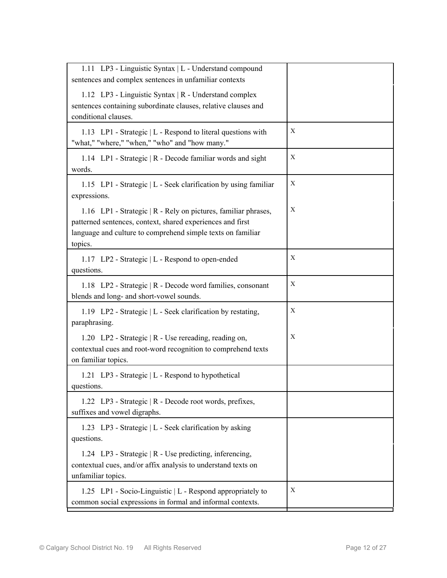| 1.11 LP3 - Linguistic Syntax   L - Understand compound<br>sentences and complex sentences in unfamiliar contexts                                                                                       |   |
|--------------------------------------------------------------------------------------------------------------------------------------------------------------------------------------------------------|---|
| 1.12 LP3 - Linguistic Syntax   R - Understand complex<br>sentences containing subordinate clauses, relative clauses and<br>conditional clauses.                                                        |   |
| 1.13 LP1 - Strategic   L - Respond to literal questions with<br>"what," "where," "when," "who" and "how many."                                                                                         | X |
| 1.14 LP1 - Strategic   R - Decode familiar words and sight<br>words.                                                                                                                                   | X |
| 1.15 LP1 - Strategic   L - Seek clarification by using familiar<br>expressions.                                                                                                                        | X |
| 1.16 LP1 - Strategic   R - Rely on pictures, familiar phrases,<br>patterned sentences, context, shared experiences and first<br>language and culture to comprehend simple texts on familiar<br>topics. | X |
| 1.17 LP2 - Strategic   L - Respond to open-ended<br>questions.                                                                                                                                         | X |
| 1.18 LP2 - Strategic   R - Decode word families, consonant<br>blends and long- and short-vowel sounds.                                                                                                 | X |
| 1.19 LP2 - Strategic   L - Seek clarification by restating,<br>paraphrasing.                                                                                                                           | X |
| 1.20 LP2 - Strategic   R - Use rereading, reading on,<br>contextual cues and root-word recognition to comprehend texts<br>on familiar topics.                                                          | X |
| 1.21 LP3 - Strategic   L - Respond to hypothetical<br>questions.                                                                                                                                       |   |
| 1.22 LP3 - Strategic   R - Decode root words, prefixes,<br>suffixes and vowel digraphs.                                                                                                                |   |
| 1.23 LP3 - Strategic   L - Seek clarification by asking<br>questions.                                                                                                                                  |   |
| 1.24 LP3 - Strategic   R - Use predicting, inferencing,<br>contextual cues, and/or affix analysis to understand texts on<br>unfamiliar topics.                                                         |   |
| 1.25 LP1 - Socio-Linguistic   L - Respond appropriately to<br>common social expressions in formal and informal contexts.                                                                               | X |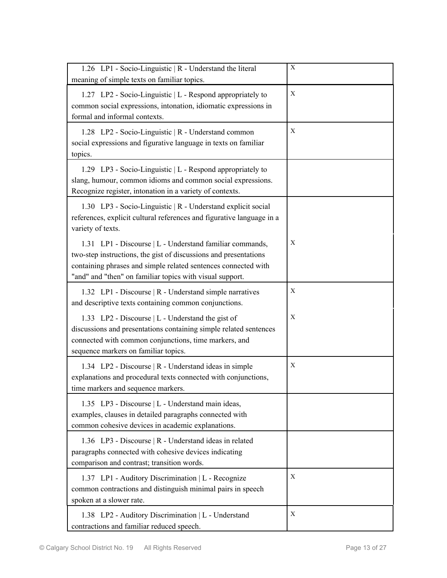| 1.26 LP1 - Socio-Linguistic   R - Understand the literal<br>meaning of simple texts on familiar topics.                                                                                                                                                    | X           |
|------------------------------------------------------------------------------------------------------------------------------------------------------------------------------------------------------------------------------------------------------------|-------------|
| 1.27 LP2 - Socio-Linguistic   L - Respond appropriately to<br>common social expressions, intonation, idiomatic expressions in<br>formal and informal contexts.                                                                                             | $\mathbf X$ |
| 1.28 LP2 - Socio-Linguistic   R - Understand common<br>social expressions and figurative language in texts on familiar<br>topics.                                                                                                                          | X           |
| 1.29 LP3 - Socio-Linguistic   L - Respond appropriately to<br>slang, humour, common idioms and common social expressions.<br>Recognize register, intonation in a variety of contexts.                                                                      |             |
| 1.30 LP3 - Socio-Linguistic   R - Understand explicit social<br>references, explicit cultural references and figurative language in a<br>variety of texts.                                                                                                 |             |
| 1.31 LP1 - Discourse   L - Understand familiar commands,<br>two-step instructions, the gist of discussions and presentations<br>containing phrases and simple related sentences connected with<br>"and" and "then" on familiar topics with visual support. | X           |
| 1.32 LP1 - Discourse   R - Understand simple narratives<br>and descriptive texts containing common conjunctions.                                                                                                                                           | X           |
| 1.33 LP2 - Discourse   L - Understand the gist of<br>discussions and presentations containing simple related sentences<br>connected with common conjunctions, time markers, and<br>sequence markers on familiar topics.                                    | X           |
| 1.34 LP2 - Discourse   R - Understand ideas in simple<br>explanations and procedural texts connected with conjunctions,<br>time markers and sequence markers.                                                                                              | X           |
| 1.35 LP3 - Discourse   L - Understand main ideas,<br>examples, clauses in detailed paragraphs connected with<br>common cohesive devices in academic explanations.                                                                                          |             |
| 1.36 LP3 - Discourse   R - Understand ideas in related<br>paragraphs connected with cohesive devices indicating<br>comparison and contrast; transition words.                                                                                              |             |
| 1.37 LP1 - Auditory Discrimination   L - Recognize<br>common contractions and distinguish minimal pairs in speech<br>spoken at a slower rate.                                                                                                              | Χ           |
| 1.38 LP2 - Auditory Discrimination   L - Understand<br>contractions and familiar reduced speech.                                                                                                                                                           | X           |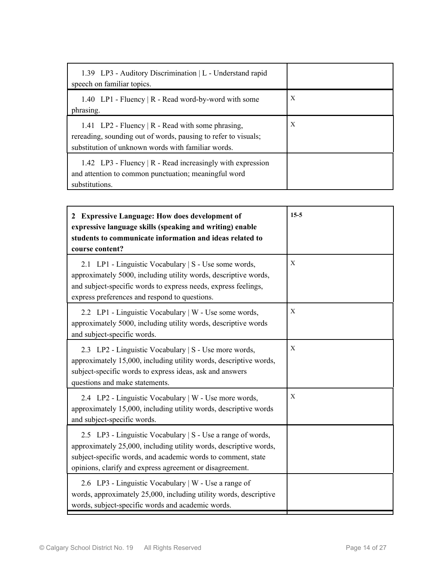| 1.39 LP3 - Auditory Discrimination   L - Understand rapid<br>speech on familiar topics.                                                                                         |   |
|---------------------------------------------------------------------------------------------------------------------------------------------------------------------------------|---|
| 1.40 LP1 - Fluency   R - Read word-by-word with some<br>phrasing.                                                                                                               | X |
| 1.41 LP2 - Fluency $\vert$ R - Read with some phrasing,<br>rereading, sounding out of words, pausing to refer to visuals;<br>substitution of unknown words with familiar words. | X |
| 1.42 LP3 - Fluency $\vert$ R - Read increasingly with expression<br>and attention to common punctuation; meaningful word<br>substitutions.                                      |   |

| 2 Expressive Language: How does development of<br>expressive language skills (speaking and writing) enable<br>students to communicate information and ideas related to<br>course content?                                                                    | $15-5$ |
|--------------------------------------------------------------------------------------------------------------------------------------------------------------------------------------------------------------------------------------------------------------|--------|
| 2.1 LP1 - Linguistic Vocabulary   S - Use some words,<br>approximately 5000, including utility words, descriptive words,<br>and subject-specific words to express needs, express feelings,<br>express preferences and respond to questions.                  | X      |
| 2.2 LP1 - Linguistic Vocabulary   W - Use some words,<br>approximately 5000, including utility words, descriptive words<br>and subject-specific words.                                                                                                       | X      |
| 2.3 LP2 - Linguistic Vocabulary   S - Use more words,<br>approximately 15,000, including utility words, descriptive words,<br>subject-specific words to express ideas, ask and answers<br>questions and make statements.                                     | X      |
| 2.4 LP2 - Linguistic Vocabulary   W - Use more words,<br>approximately 15,000, including utility words, descriptive words<br>and subject-specific words.                                                                                                     | X      |
| 2.5 LP3 - Linguistic Vocabulary   S - Use a range of words,<br>approximately 25,000, including utility words, descriptive words,<br>subject-specific words, and academic words to comment, state<br>opinions, clarify and express agreement or disagreement. |        |
| 2.6 LP3 - Linguistic Vocabulary   W - Use a range of<br>words, approximately 25,000, including utility words, descriptive<br>words, subject-specific words and academic words.                                                                               |        |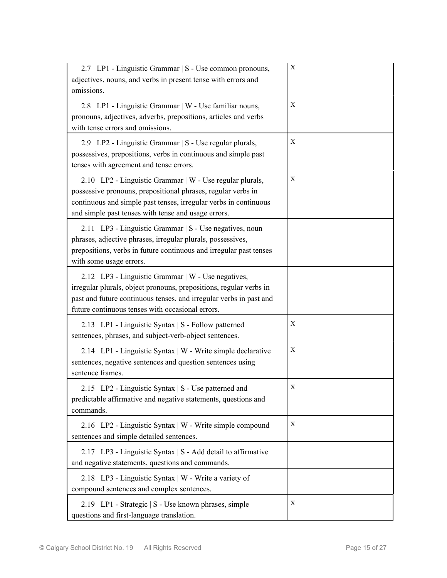| 2.7 LP1 - Linguistic Grammar   S - Use common pronouns,<br>adjectives, nouns, and verbs in present tense with errors and<br>omissions.                                                                                                              | $\mathbf X$ |
|-----------------------------------------------------------------------------------------------------------------------------------------------------------------------------------------------------------------------------------------------------|-------------|
| 2.8 LP1 - Linguistic Grammar   W - Use familiar nouns,<br>pronouns, adjectives, adverbs, prepositions, articles and verbs<br>with tense errors and omissions.                                                                                       | X           |
| 2.9 LP2 - Linguistic Grammar   S - Use regular plurals,<br>possessives, prepositions, verbs in continuous and simple past<br>tenses with agreement and tense errors.                                                                                | X           |
| 2.10 LP2 - Linguistic Grammar   W - Use regular plurals,<br>possessive pronouns, prepositional phrases, regular verbs in<br>continuous and simple past tenses, irregular verbs in continuous<br>and simple past tenses with tense and usage errors. | X           |
| 2.11 LP3 - Linguistic Grammar   S - Use negatives, noun<br>phrases, adjective phrases, irregular plurals, possessives,<br>prepositions, verbs in future continuous and irregular past tenses<br>with some usage errors.                             |             |
| 2.12 LP3 - Linguistic Grammar   W - Use negatives,<br>irregular plurals, object pronouns, prepositions, regular verbs in<br>past and future continuous tenses, and irregular verbs in past and<br>future continuous tenses with occasional errors.  |             |
| 2.13 LP1 - Linguistic Syntax   S - Follow patterned<br>sentences, phrases, and subject-verb-object sentences.                                                                                                                                       | Χ           |
| 2.14 LP1 - Linguistic Syntax   W - Write simple declarative<br>sentences, negative sentences and question sentences using<br>sentence frames.                                                                                                       | X           |
| 2.15 LP2 - Linguistic Syntax   S - Use patterned and<br>predictable affirmative and negative statements, questions and<br>commands.                                                                                                                 | Х           |
| 2.16 LP2 - Linguistic Syntax   W - Write simple compound<br>sentences and simple detailed sentences.                                                                                                                                                | Χ           |
| 2.17 LP3 - Linguistic Syntax   S - Add detail to affirmative<br>and negative statements, questions and commands.                                                                                                                                    |             |
| 2.18 LP3 - Linguistic Syntax   W - Write a variety of<br>compound sentences and complex sentences.                                                                                                                                                  |             |
| 2.19 LP1 - Strategic   S - Use known phrases, simple<br>questions and first-language translation.                                                                                                                                                   | Χ           |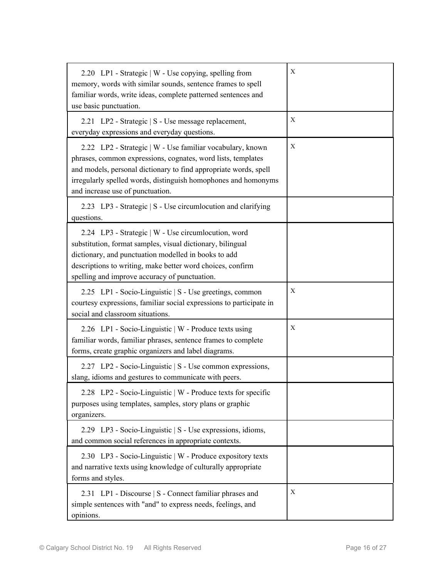| 2.20 LP1 - Strategic   W - Use copying, spelling from<br>memory, words with similar sounds, sentence frames to spell<br>familiar words, write ideas, complete patterned sentences and<br>use basic punctuation.                                                                                     | Χ |
|-----------------------------------------------------------------------------------------------------------------------------------------------------------------------------------------------------------------------------------------------------------------------------------------------------|---|
| 2.21 LP2 - Strategic   S - Use message replacement,<br>everyday expressions and everyday questions.                                                                                                                                                                                                 | Х |
| 2.22 LP2 - Strategic   W - Use familiar vocabulary, known<br>phrases, common expressions, cognates, word lists, templates<br>and models, personal dictionary to find appropriate words, spell<br>irregularly spelled words, distinguish homophones and homonyms<br>and increase use of punctuation. | X |
| 2.23 LP3 - Strategic   S - Use circumlocution and clarifying<br>questions.                                                                                                                                                                                                                          |   |
| 2.24 LP3 - Strategic   W - Use circumlocution, word<br>substitution, format samples, visual dictionary, bilingual<br>dictionary, and punctuation modelled in books to add<br>descriptions to writing, make better word choices, confirm<br>spelling and improve accuracy of punctuation.            |   |
| 2.25 LP1 - Socio-Linguistic   S - Use greetings, common<br>courtesy expressions, familiar social expressions to participate in<br>social and classroom situations.                                                                                                                                  | X |
| 2.26 LP1 - Socio-Linguistic   W - Produce texts using<br>familiar words, familiar phrases, sentence frames to complete<br>forms, create graphic organizers and label diagrams.                                                                                                                      | X |
| 2.27 LP2 - Socio-Linguistic   S - Use common expressions,<br>slang, idioms and gestures to communicate with peers.                                                                                                                                                                                  |   |
| 2.28 LP2 - Socio-Linguistic   W - Produce texts for specific<br>purposes using templates, samples, story plans or graphic<br>organizers.                                                                                                                                                            |   |
| 2.29 LP3 - Socio-Linguistic   S - Use expressions, idioms,<br>and common social references in appropriate contexts.                                                                                                                                                                                 |   |
| 2.30 LP3 - Socio-Linguistic   W - Produce expository texts<br>and narrative texts using knowledge of culturally appropriate<br>forms and styles.                                                                                                                                                    |   |
| 2.31 LP1 - Discourse   S - Connect familiar phrases and<br>simple sentences with "and" to express needs, feelings, and<br>opinions.                                                                                                                                                                 | Х |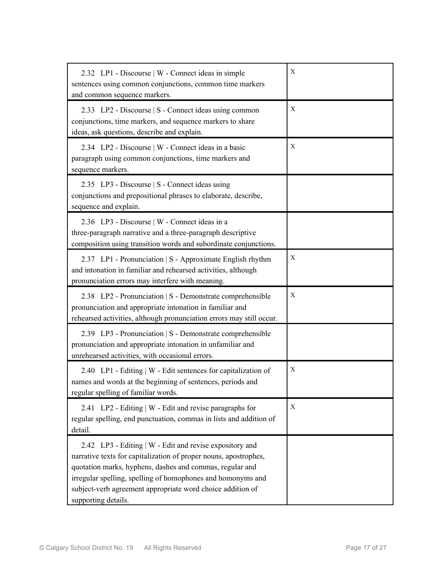| 2.32 LP1 - Discourse   W - Connect ideas in simple<br>sentences using common conjunctions, common time markers<br>and common sequence markers.                                                                                                                                                                                              | X |
|---------------------------------------------------------------------------------------------------------------------------------------------------------------------------------------------------------------------------------------------------------------------------------------------------------------------------------------------|---|
| 2.33 LP2 - Discourse   S - Connect ideas using common<br>conjunctions, time markers, and sequence markers to share<br>ideas, ask questions, describe and explain.                                                                                                                                                                           | X |
| 2.34 LP2 - Discourse   W - Connect ideas in a basic<br>paragraph using common conjunctions, time markers and<br>sequence markers.                                                                                                                                                                                                           | X |
| 2.35 LP3 - Discourse   S - Connect ideas using<br>conjunctions and prepositional phrases to elaborate, describe,<br>sequence and explain.                                                                                                                                                                                                   |   |
| 2.36 LP3 - Discourse   W - Connect ideas in a<br>three-paragraph narrative and a three-paragraph descriptive<br>composition using transition words and subordinate conjunctions.                                                                                                                                                            |   |
| 2.37 LP1 - Pronunciation   S - Approximate English rhythm<br>and intonation in familiar and rehearsed activities, although<br>pronunciation errors may interfere with meaning.                                                                                                                                                              | X |
| 2.38 LP2 - Pronunciation   S - Demonstrate comprehensible<br>pronunciation and appropriate intonation in familiar and<br>rehearsed activities, although pronunciation errors may still occur.                                                                                                                                               | X |
| 2.39 LP3 - Pronunciation   S - Demonstrate comprehensible<br>pronunciation and appropriate intonation in unfamiliar and<br>unrehearsed activities, with occasional errors.                                                                                                                                                                  |   |
| 2.40 LP1 - Editing   W - Edit sentences for capitalization of<br>names and words at the beginning of sentences, periods and<br>regular spelling of familiar words.                                                                                                                                                                          | X |
| 2.41 LP2 - Editing   W - Edit and revise paragraphs for<br>regular spelling, end punctuation, commas in lists and addition of<br>detail.                                                                                                                                                                                                    | X |
| 2.42 LP3 - Editing   W - Edit and revise expository and<br>narrative texts for capitalization of proper nouns, apostrophes,<br>quotation marks, hyphens, dashes and commas, regular and<br>irregular spelling, spelling of homophones and homonyms and<br>subject-verb agreement appropriate word choice addition of<br>supporting details. |   |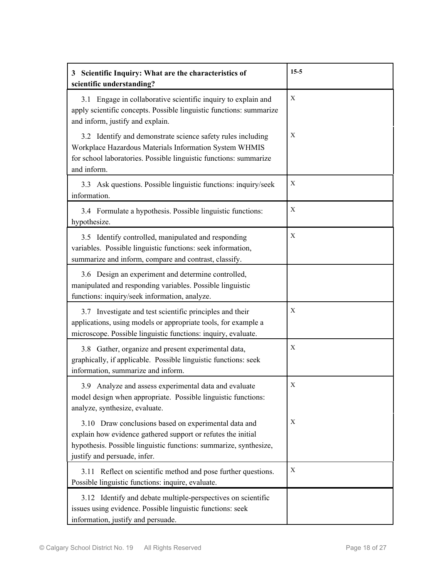| 3 Scientific Inquiry: What are the characteristics of<br>scientific understanding?                                                                                                                                        | $15-5$ |
|---------------------------------------------------------------------------------------------------------------------------------------------------------------------------------------------------------------------------|--------|
| 3.1 Engage in collaborative scientific inquiry to explain and<br>apply scientific concepts. Possible linguistic functions: summarize<br>and inform, justify and explain.                                                  | X      |
| 3.2 Identify and demonstrate science safety rules including<br>Workplace Hazardous Materials Information System WHMIS<br>for school laboratories. Possible linguistic functions: summarize<br>and inform.                 | X      |
| 3.3 Ask questions. Possible linguistic functions: inquiry/seek<br>information.                                                                                                                                            | Х      |
| 3.4 Formulate a hypothesis. Possible linguistic functions:<br>hypothesize.                                                                                                                                                | X      |
| 3.5 Identify controlled, manipulated and responding<br>variables. Possible linguistic functions: seek information,<br>summarize and inform, compare and contrast, classify.                                               | X      |
| 3.6 Design an experiment and determine controlled,<br>manipulated and responding variables. Possible linguistic<br>functions: inquiry/seek information, analyze.                                                          |        |
| 3.7 Investigate and test scientific principles and their<br>applications, using models or appropriate tools, for example a<br>microscope. Possible linguistic functions: inquiry, evaluate.                               | X      |
| 3.8 Gather, organize and present experimental data,<br>graphically, if applicable. Possible linguistic functions: seek<br>information, summarize and inform.                                                              | X      |
| 3.9 Analyze and assess experimental data and evaluate<br>model design when appropriate. Possible linguistic functions:<br>analyze, synthesize, evaluate.                                                                  | X      |
| 3.10 Draw conclusions based on experimental data and<br>explain how evidence gathered support or refutes the initial<br>hypothesis. Possible linguistic functions: summarize, synthesize,<br>justify and persuade, infer. | X      |
| 3.11 Reflect on scientific method and pose further questions.<br>Possible linguistic functions: inquire, evaluate.                                                                                                        | Χ      |
| 3.12 Identify and debate multiple-perspectives on scientific<br>issues using evidence. Possible linguistic functions: seek<br>information, justify and persuade.                                                          |        |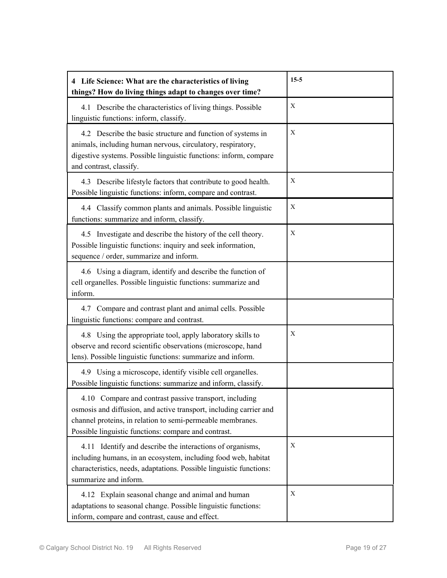| 4 Life Science: What are the characteristics of living<br>things? How do living things adapt to changes over time?                                                                                                                                 | $15-5$ |
|----------------------------------------------------------------------------------------------------------------------------------------------------------------------------------------------------------------------------------------------------|--------|
| 4.1 Describe the characteristics of living things. Possible<br>linguistic functions: inform, classify.                                                                                                                                             | X      |
| 4.2 Describe the basic structure and function of systems in<br>animals, including human nervous, circulatory, respiratory,<br>digestive systems. Possible linguistic functions: inform, compare<br>and contrast, classify.                         | X      |
| 4.3 Describe lifestyle factors that contribute to good health.<br>Possible linguistic functions: inform, compare and contrast.                                                                                                                     | X      |
| 4.4 Classify common plants and animals. Possible linguistic<br>functions: summarize and inform, classify.                                                                                                                                          | X      |
| 4.5 Investigate and describe the history of the cell theory.<br>Possible linguistic functions: inquiry and seek information,<br>sequence / order, summarize and inform.                                                                            | X      |
| 4.6 Using a diagram, identify and describe the function of<br>cell organelles. Possible linguistic functions: summarize and<br>inform.                                                                                                             |        |
| 4.7 Compare and contrast plant and animal cells. Possible<br>linguistic functions: compare and contrast.                                                                                                                                           |        |
| 4.8 Using the appropriate tool, apply laboratory skills to<br>observe and record scientific observations (microscope, hand<br>lens). Possible linguistic functions: summarize and inform.                                                          | X      |
| 4.9 Using a microscope, identify visible cell organelles.<br>Possible linguistic functions: summarize and inform, classify.                                                                                                                        |        |
| 4.10 Compare and contrast passive transport, including<br>osmosis and diffusion, and active transport, including carrier and<br>channel proteins, in relation to semi-permeable membranes.<br>Possible linguistic functions: compare and contrast. |        |
| 4.11 Identify and describe the interactions of organisms,<br>including humans, in an ecosystem, including food web, habitat<br>characteristics, needs, adaptations. Possible linguistic functions:<br>summarize and inform.                        | X      |
| 4.12 Explain seasonal change and animal and human<br>adaptations to seasonal change. Possible linguistic functions:<br>inform, compare and contrast, cause and effect.                                                                             | X      |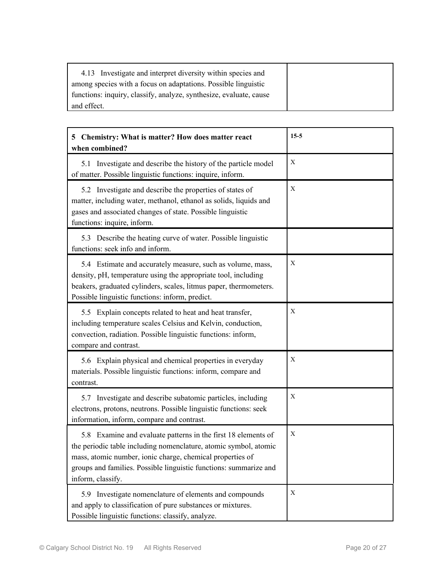| 4.13 Investigate and interpret diversity within species and        |  |
|--------------------------------------------------------------------|--|
| among species with a focus on adaptations. Possible linguistic     |  |
| functions: inquiry, classify, analyze, synthesize, evaluate, cause |  |
| and effect.                                                        |  |

| 5 Chemistry: What is matter? How does matter react<br>when combined?                                                                                                                                                                                                                     | $15-5$ |
|------------------------------------------------------------------------------------------------------------------------------------------------------------------------------------------------------------------------------------------------------------------------------------------|--------|
| 5.1 Investigate and describe the history of the particle model<br>of matter. Possible linguistic functions: inquire, inform.                                                                                                                                                             | X      |
| 5.2 Investigate and describe the properties of states of<br>matter, including water, methanol, ethanol as solids, liquids and<br>gases and associated changes of state. Possible linguistic<br>functions: inquire, inform.                                                               | X      |
| 5.3 Describe the heating curve of water. Possible linguistic<br>functions: seek info and inform.                                                                                                                                                                                         |        |
| 5.4 Estimate and accurately measure, such as volume, mass,<br>density, pH, temperature using the appropriate tool, including<br>beakers, graduated cylinders, scales, litmus paper, thermometers.<br>Possible linguistic functions: inform, predict.                                     | X      |
| 5.5 Explain concepts related to heat and heat transfer,<br>including temperature scales Celsius and Kelvin, conduction,<br>convection, radiation. Possible linguistic functions: inform,<br>compare and contrast.                                                                        | X      |
| 5.6 Explain physical and chemical properties in everyday<br>materials. Possible linguistic functions: inform, compare and<br>contrast.                                                                                                                                                   | X      |
| 5.7 Investigate and describe subatomic particles, including<br>electrons, protons, neutrons. Possible linguistic functions: seek<br>information, inform, compare and contrast.                                                                                                           | X      |
| 5.8 Examine and evaluate patterns in the first 18 elements of<br>the periodic table including nomenclature, atomic symbol, atomic<br>mass, atomic number, ionic charge, chemical properties of<br>groups and families. Possible linguistic functions: summarize and<br>inform, classify. | X      |
| 5.9 Investigate nomenclature of elements and compounds<br>and apply to classification of pure substances or mixtures.<br>Possible linguistic functions: classify, analyze.                                                                                                               | X      |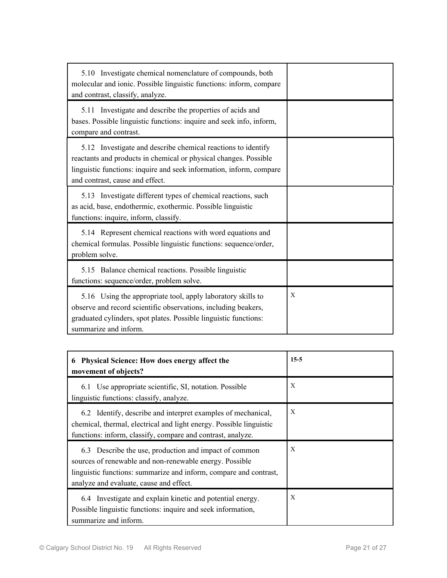| 5.10 Investigate chemical nomenclature of compounds, both<br>molecular and ionic. Possible linguistic functions: inform, compare<br>and contrast, classify, analyze.                                                                       |   |
|--------------------------------------------------------------------------------------------------------------------------------------------------------------------------------------------------------------------------------------------|---|
| 5.11 Investigate and describe the properties of acids and<br>bases. Possible linguistic functions: inquire and seek info, inform,<br>compare and contrast.                                                                                 |   |
| 5.12 Investigate and describe chemical reactions to identify<br>reactants and products in chemical or physical changes. Possible<br>linguistic functions: inquire and seek information, inform, compare<br>and contrast, cause and effect. |   |
| 5.13 Investigate different types of chemical reactions, such<br>as acid, base, endothermic, exothermic. Possible linguistic<br>functions: inquire, inform, classify.                                                                       |   |
| 5.14 Represent chemical reactions with word equations and<br>chemical formulas. Possible linguistic functions: sequence/order,<br>problem solve.                                                                                           |   |
| 5.15 Balance chemical reactions. Possible linguistic<br>functions: sequence/order, problem solve.                                                                                                                                          |   |
| 5.16 Using the appropriate tool, apply laboratory skills to<br>observe and record scientific observations, including beakers,<br>graduated cylinders, spot plates. Possible linguistic functions:<br>summarize and inform.                 | X |

| <b>Physical Science: How does energy affect the</b><br>6<br>movement of objects?                                                                                                                                                 | $15-5$                    |
|----------------------------------------------------------------------------------------------------------------------------------------------------------------------------------------------------------------------------------|---------------------------|
| 6.1 Use appropriate scientific, SI, notation. Possible<br>linguistic functions: classify, analyze.                                                                                                                               | X                         |
| 6.2 Identify, describe and interpret examples of mechanical,<br>chemical, thermal, electrical and light energy. Possible linguistic<br>functions: inform, classify, compare and contrast, analyze.                               | $\boldsymbol{\mathrm{X}}$ |
| 6.3 Describe the use, production and impact of common<br>sources of renewable and non-renewable energy. Possible<br>linguistic functions: summarize and inform, compare and contrast,<br>analyze and evaluate, cause and effect. | X                         |
| 6.4 Investigate and explain kinetic and potential energy.<br>Possible linguistic functions: inquire and seek information,<br>summarize and inform.                                                                               | $\boldsymbol{\mathrm{X}}$ |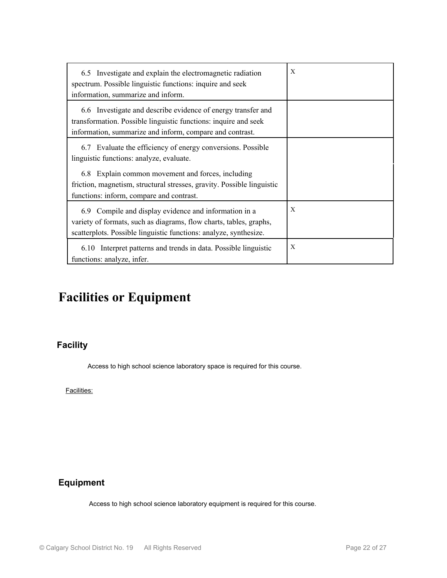| 6.5 Investigate and explain the electromagnetic radiation<br>spectrum. Possible linguistic functions: inquire and seek<br>information, summarize and inform.                                     | X |
|--------------------------------------------------------------------------------------------------------------------------------------------------------------------------------------------------|---|
| 6.6 Investigate and describe evidence of energy transfer and<br>transformation. Possible linguistic functions: inquire and seek<br>information, summarize and inform, compare and contrast.      |   |
| 6.7 Evaluate the efficiency of energy conversions. Possible<br>linguistic functions: analyze, evaluate.                                                                                          |   |
| 6.8 Explain common movement and forces, including<br>friction, magnetism, structural stresses, gravity. Possible linguistic<br>functions: inform, compare and contrast.                          |   |
| 6.9 Compile and display evidence and information in a<br>variety of formats, such as diagrams, flow charts, tables, graphs,<br>scatterplots. Possible linguistic functions: analyze, synthesize. | X |
| Interpret patterns and trends in data. Possible linguistic<br>6.10<br>functions: analyze, infer.                                                                                                 | X |

# **Facilities or Equipment**

## **Facility**

Access to high school science laboratory space is required for this course.

Facilities:

## **Equipment**

Access to high school science laboratory equipment is required for this course.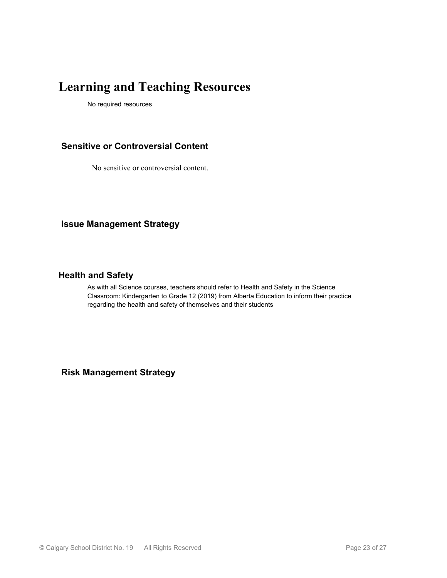# **Learning and Teaching Resources**

No required resources

### **Sensitive or Controversial Content**

No sensitive or controversial content.

**Issue Management Strategy**

#### **Health and Safety**

As with all Science courses, teachers should refer to Health and Safety in the Science Classroom: Kindergarten to Grade 12 (2019) from Alberta Education to inform their practice regarding the health and safety of themselves and their students

**Risk Management Strategy**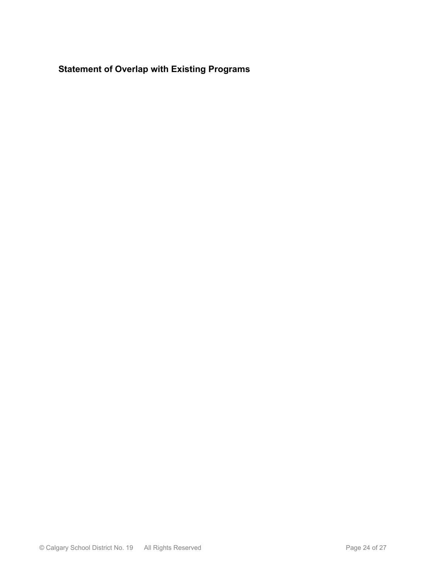**Statement of Overlap with Existing Programs**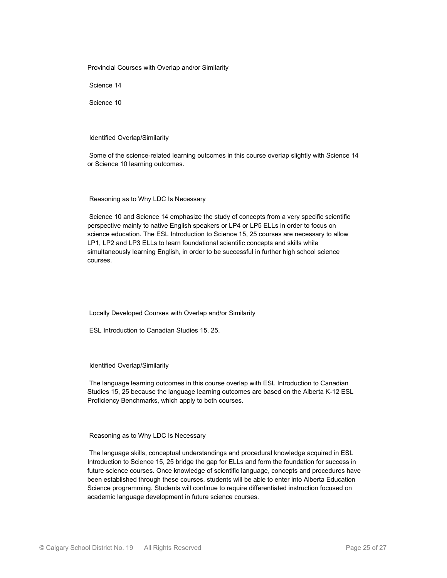Provincial Courses with Overlap and/or Similarity

Science 14

Science 10

Identified Overlap/Similarity

 Some of the science-related learning outcomes in this course overlap slightly with Science 14 or Science 10 learning outcomes.

Reasoning as to Why LDC Is Necessary

 Science 10 and Science 14 emphasize the study of concepts from a very specific scientific perspective mainly to native English speakers or LP4 or LP5 ELLs in order to focus on science education. The ESL Introduction to Science 15, 25 courses are necessary to allow LP1, LP2 and LP3 ELLs to learn foundational scientific concepts and skills while simultaneously learning English, in order to be successful in further high school science courses.

Locally Developed Courses with Overlap and/or Similarity

ESL Introduction to Canadian Studies 15, 25.

Identified Overlap/Similarity

 The language learning outcomes in this course overlap with ESL Introduction to Canadian Studies 15, 25 because the language learning outcomes are based on the Alberta K-12 ESL Proficiency Benchmarks, which apply to both courses.

Reasoning as to Why LDC Is Necessary

 The language skills, conceptual understandings and procedural knowledge acquired in ESL Introduction to Science 15, 25 bridge the gap for ELLs and form the foundation for success in future science courses. Once knowledge of scientific language, concepts and procedures have been established through these courses, students will be able to enter into Alberta Education Science programming. Students will continue to require differentiated instruction focused on academic language development in future science courses.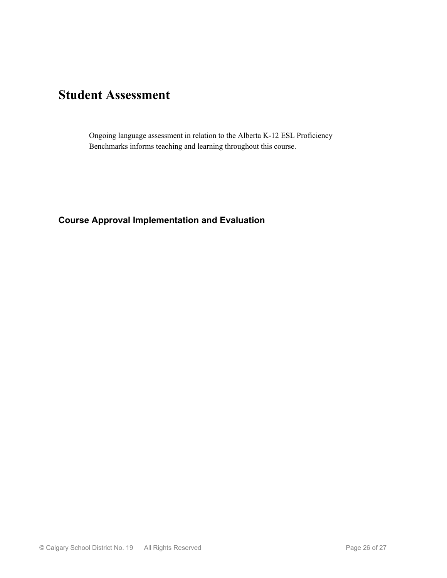# **Student Assessment**

Ongoing language assessment in relation to the Alberta K-12 ESL Proficiency Benchmarks informs teaching and learning throughout this course.

### **Course Approval Implementation and Evaluation**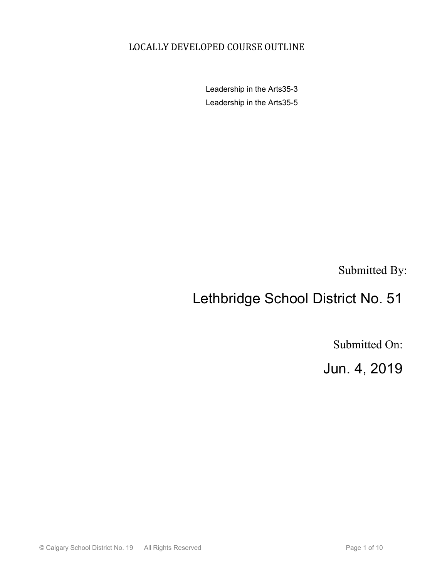## LOCALLY DEVELOPED COURSE OUTLINE

Leadership in the Arts35-3 Leadership in the Arts35-5

Submitted By:

# Lethbridge School District No. 51

Submitted On:

Jun. 4, 2019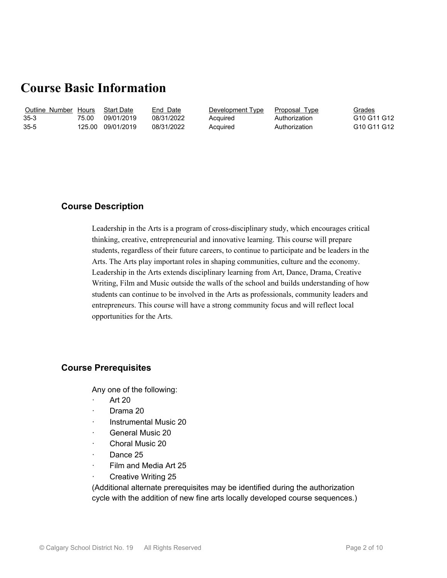## **Course Basic Information**

| Outline Number Hours |        | <b>Start Date</b> | End Date   | Development Type | Proposal Type | Grades                                          |
|----------------------|--------|-------------------|------------|------------------|---------------|-------------------------------------------------|
| 35-3                 | 75.00  | 09/01/2019        | 08/31/2022 | Acquired         | Authorization | G10 G11 G12                                     |
| $35 - 5$             | 125.00 | 09/01/2019        | 08/31/2022 | Acquired         | Authorization | G <sub>10</sub> G <sub>11</sub> G <sub>12</sub> |

#### **Course Description**

Leadership in the Arts is a program of cross-disciplinary study, which encourages critical thinking, creative, entrepreneurial and innovative learning. This course will prepare students, regardless of their future careers, to continue to participate and be leaders in the Arts. The Arts play important roles in shaping communities, culture and the economy. Leadership in the Arts extends disciplinary learning from Art, Dance, Drama, Creative Writing, Film and Music outside the walls of the school and builds understanding of how students can continue to be involved in the Arts as professionals, community leaders and entrepreneurs. This course will have a strong community focus and will reflect local opportunities for the Arts.

#### **Course Prerequisites**

Any one of the following:

- · Art 20
- · Drama 20
- · Instrumental Music 20
- General Music 20
- · Choral Music 20
- Dance 25
- Film and Media Art 25
- · Creative Writing 25

(Additional alternate prerequisites may be identified during the authorization cycle with the addition of new fine arts locally developed course sequences.)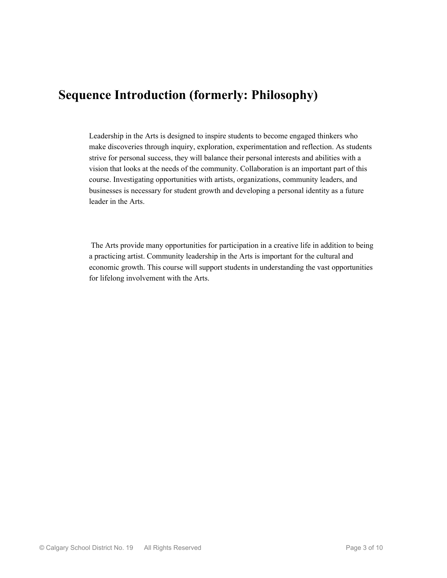## **Sequence Introduction (formerly: Philosophy)**

Leadership in the Arts is designed to inspire students to become engaged thinkers who make discoveries through inquiry, exploration, experimentation and reflection. As students strive for personal success, they will balance their personal interests and abilities with a vision that looks at the needs of the community. Collaboration is an important part of this course. Investigating opportunities with artists, organizations, community leaders, and businesses is necessary for student growth and developing a personal identity as a future leader in the Arts.

 The Arts provide many opportunities for participation in a creative life in addition to being a practicing artist. Community leadership in the Arts is important for the cultural and economic growth. This course will support students in understanding the vast opportunities for lifelong involvement with the Arts.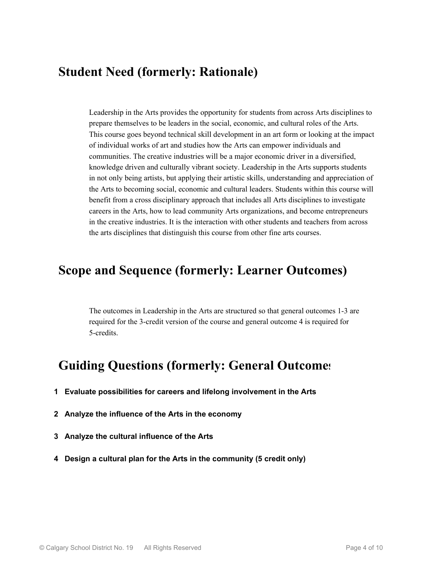## **Student Need (formerly: Rationale)**

Leadership in the Arts provides the opportunity for students from across Arts disciplines to prepare themselves to be leaders in the social, economic, and cultural roles of the Arts. This course goes beyond technical skill development in an art form or looking at the impact of individual works of art and studies how the Arts can empower individuals and communities. The creative industries will be a major economic driver in a diversified, knowledge driven and culturally vibrant society. Leadership in the Arts supports students in not only being artists, but applying their artistic skills, understanding and appreciation of the Arts to becoming social, economic and cultural leaders. Students within this course will benefit from a cross disciplinary approach that includes all Arts disciplines to investigate careers in the Arts, how to lead community Arts organizations, and become entrepreneurs in the creative industries. It is the interaction with other students and teachers from across the arts disciplines that distinguish this course from other fine arts courses.

## **Scope and Sequence (formerly: Learner Outcomes)**

The outcomes in Leadership in the Arts are structured so that general outcomes 1-3 are required for the 3-credit version of the course and general outcome 4 is required for 5-credits.

# **Guiding Questions (formerly: General Outcomes)**

- **1 Evaluate possibilities for careers and lifelong involvement in the Arts**
- **2 Analyze the influence of the Arts in the economy**
- **3 Analyze the cultural influence of the Arts**
- **4 Design a cultural plan for the Arts in the community (5 credit only)**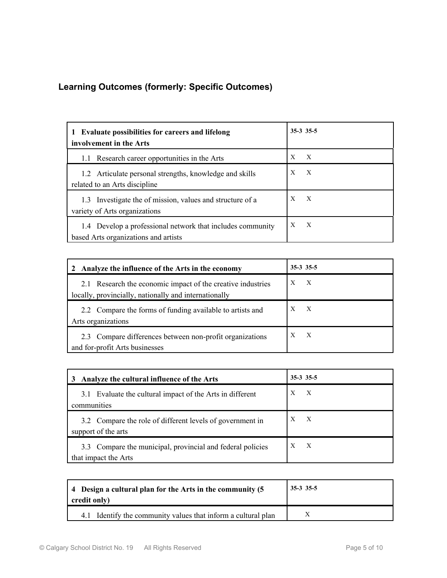## **Learning Outcomes (formerly: Specific Outcomes)**

| <b>Evaluate possibilities for careers and lifelong</b><br>involvement in the Arts | $35-3$ $35-5$    |
|-----------------------------------------------------------------------------------|------------------|
| Research career opportunities in the Arts                                         | X                |
| 1.1                                                                               | $\boldsymbol{X}$ |
| 1.2 Articulate personal strengths, knowledge and skills                           | X                |
| related to an Arts discipline                                                     | $\boldsymbol{X}$ |
| 1.3 Investigate the of mission, values and structure of a                         | X                |
| variety of Arts organizations                                                     | $\boldsymbol{X}$ |
| 1.4 Develop a professional network that includes community                        | $\boldsymbol{X}$ |
| based Arts organizations and artists                                              | X                |

| Analyze the influence of the Arts in the economy<br>2       | $35-3$ 35-5  |
|-------------------------------------------------------------|--------------|
| 2.1 Research the economic impact of the creative industries | X            |
| locally, provincially, nationally and internationally       | X            |
| 2.2 Compare the forms of funding available to artists and   | X            |
| Arts organizations                                          | $\mathbf{X}$ |
| 2.3 Compare differences between non-profit organizations    | X            |
| and for-profit Arts businesses                              | X            |

| Analyze the cultural influence of the Arts<br>3                                    | $35-3$ 35-5 |  |
|------------------------------------------------------------------------------------|-------------|--|
| Evaluate the cultural impact of the Arts in different<br>3.1<br>communities        | X<br>X      |  |
| 3.2 Compare the role of different levels of government in<br>support of the arts   | X           |  |
| 3.3 Compare the municipal, provincial and federal policies<br>that impact the Arts | X<br>X      |  |

| 4 Design a cultural plan for the Arts in the community (5<br>credit only) | $35-335-5$ |
|---------------------------------------------------------------------------|------------|
| 4.1 Identify the community values that inform a cultural plan             |            |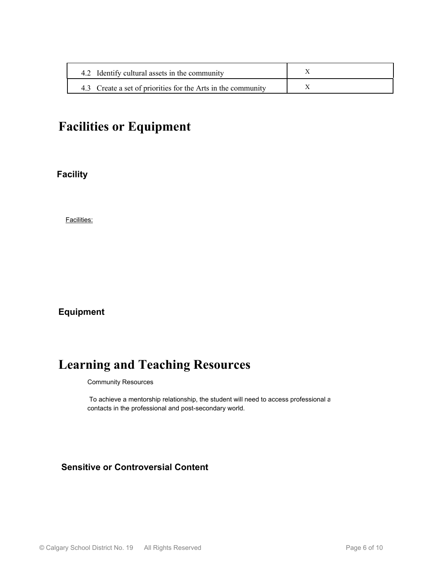| 4.2 Identify cultural assets in the community                |  |
|--------------------------------------------------------------|--|
| 4.3 Create a set of priorities for the Arts in the community |  |

# **Facilities or Equipment**

**Facility**

Facilities:

### **Equipment**

# **Learning and Teaching Resources**

Community Resources

To achieve a mentorship relationship, the student will need to access professional a contacts in the professional and post-secondary world.

## **Sensitive or Controversial Content**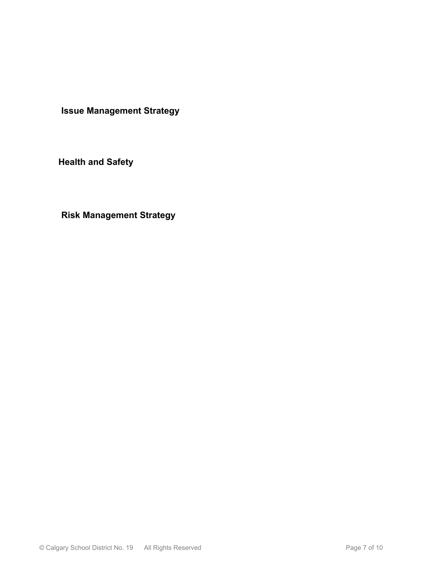**Issue Management Strategy**

**Health and Safety**

**Risk Management Strategy**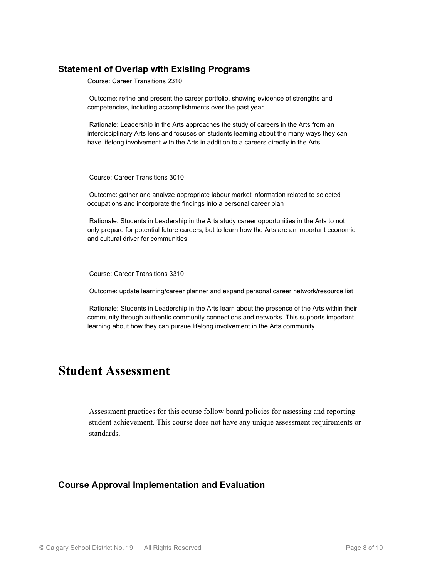### **Statement of Overlap with Existing Programs**

Course: Career Transitions 2310

 Outcome: refine and present the career portfolio, showing evidence of strengths and competencies, including accomplishments over the past year

 Rationale: Leadership in the Arts approaches the study of careers in the Arts from an interdisciplinary Arts lens and focuses on students learning about the many ways they can have lifelong involvement with the Arts in addition to a careers directly in the Arts.

Course: Career Transitions 3010

 Outcome: gather and analyze appropriate labour market information related to selected occupations and incorporate the findings into a personal career plan

 Rationale: Students in Leadership in the Arts study career opportunities in the Arts to not only prepare for potential future careers, but to learn how the Arts are an important economic and cultural driver for communities.

Course: Career Transitions 3310

Outcome: update learning/career planner and expand personal career network/resource list

 Rationale: Students in Leadership in the Arts learn about the presence of the Arts within their community through authentic community connections and networks. This supports important learning about how they can pursue lifelong involvement in the Arts community.

## **Student Assessment**

Assessment practices for this course follow board policies for assessing and reporting student achievement. This course does not have any unique assessment requirements or standards.

#### **Course Approval Implementation and Evaluation**